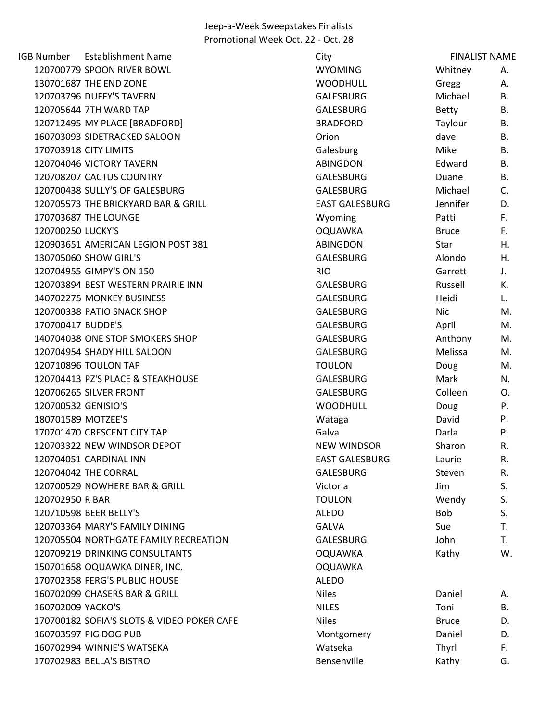IGB Number Establishment Name City 120700779 SPOON RIVER BOWL WYOMING Whitney A. 130701687 THE END ZONE A A CONSUMING MOODHULL CONSUMING THE END ZONE 120703796 DUFFY'S TAVERN GALESBURG Michael B. 120705644 7TH WARD TAP GALESBURG B. AND TAP GALESBURG B. 120712495 MY PLACE [BRADFORD] BRADFORD Taylour B. 160703093 SIDETRACKED SALOON Orion dave B. 170703918 CITY LIMITS **Example 20 Inc.** Salesburg Galesburg Mike B. 120704046 VICTORY TAVERN ABINGDON Edward B. 120708207 CACTUS COUNTRY GALESBURG Duane B. 120700438 SULLY'S OF GALESBURG GALESBURG Michael C. 120705573 THE BRICKYARD BAR & GRILL EAST GALESBURG Jennifer D. 170703687 THE LOUNGE THE ROUNG EXAMPLE THE LOUNG EXAMPLE THE RESERVE THE MY VOLTAGE THE SERVER THE RESERVE THE 120700250 LUCKY'S OQUAWKA Bruce F. 120903651 AMERICAN LEGION POST 381 ABINGDON Star H. 130705060 SHOW GIRL'S GALESBURG Alondo H. 120704955 GIMPY'S ON 150 RIO Garrett J. 120703894 BEST WESTERN PRAIRIE INN GALESBURG Russell K. 140702275 MONKEY BUSINESS GALESBURG Heidi L. 120700338 PATIO SNACK SHOP GALESBURG Nic M. 170700417 BUDDE'S GALESBURG April M. 140704038 ONE STOP SMOKERS SHOP CONTROL CONTROLLERS AND GALESBURG Anthony M. 120704954 SHADY HILL SALOON GALESBURG Melissa M. 120710896 TOULON TAP TOULON Doug M. 120704413 PZ'S PLACE & STEAKHOUSE THE STEAKHOUSE CALESBURG Mark M. 120706265 SILVER FRONT GALESBURG Colleen O. 120700532 GENISIO'S WOODHULL Doug P. 180701589 MOTZEE'S **Example 20 Tana David P.** Alta Wataga Moto David P. 170701470 CRESCENT CITY TAP Galva Calva Galva Darla Darla P. 120703322 NEW WINDSOR DEPOT NEW WINDSOR NEW WINDSOR Sharon R. 120704051 CARDINAL INN EAST GALESBURG Laurie R. 120704042 THE CORRAL GALESBURG Steven R. 120700529 NOWHERE BAR & GRILL **CONTROLL CONTROLLY CONTROLLY SETTING** S. 120702950 R BAR SALE STRAIN TOULON TOULON Wendy S. 120710598 BEER BELLY'S ALEDO Bob S. 120703364 MARY'S FAMILY DINING GALVA Sue T. 120705504 NORTHGATE FAMILY RECREATION GALESBURG John T. 120709219 DRINKING CONSULTANTS OQUAWKA Kathy W. 150701658 OQUAWKA DINER, INC. OQUAWKA 170702358 FERG'S PUBLIC HOUSE ALEDO 160702099 CHASERS BAR & GRILL Niles Daniel A. 160702009 YACKO'S **NILES** Toni B. 170700182 SOFIA'S SLOTS & VIDEO POKER CAFE Niles Bruce Bruce Bruce D. 160703597 PIG DOG PUB DOG PUB DELL'S CONTROLLER MONTGOMERY DANIEL D. 160702994 WINNIE'S WATSEKA Watseka Thyrl F. 170702983 BELLA'S BISTRO **BELO BENSENS BENSENS BENSENSIAS BENSENS** Bensenville Kathy G. FINALIST NAME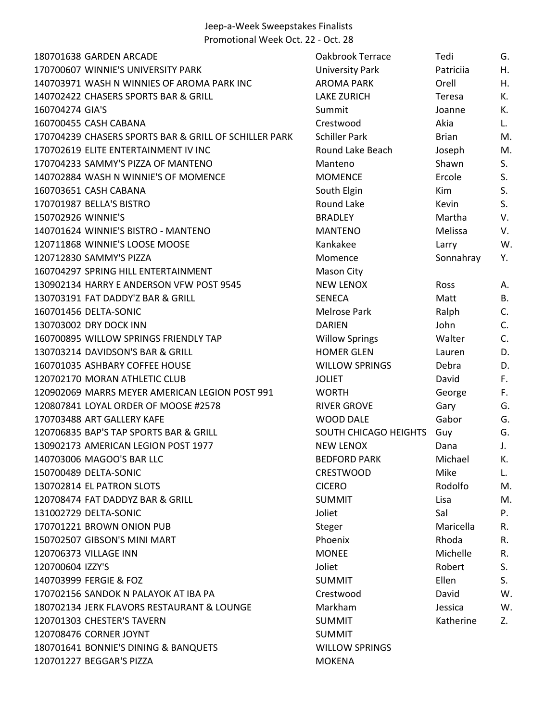| 180701638 GARDEN ARCADE                               | Oakbrook Terrace       | Tedi         | G.        |
|-------------------------------------------------------|------------------------|--------------|-----------|
| 170700607 WINNIE'S UNIVERSITY PARK                    | <b>University Park</b> | Patriciia    | Η.        |
| 140703971 WASH N WINNIES OF AROMA PARK INC            | <b>AROMA PARK</b>      | Orell        | Η.        |
| 140702422 CHASERS SPORTS BAR & GRILL                  | <b>LAKE ZURICH</b>     | Teresa       | K.        |
| 160704274 GIA'S                                       | Summit                 | Joanne       | К.        |
| 160700455 CASH CABANA                                 | Crestwood              | Akia         | L.        |
| 170704239 CHASERS SPORTS BAR & GRILL OF SCHILLER PARK | <b>Schiller Park</b>   | <b>Brian</b> | M.        |
| 170702619 ELITE ENTERTAINMENT IV INC                  | Round Lake Beach       | Joseph       | M.        |
| 170704233 SAMMY'S PIZZA OF MANTENO                    | Manteno                | Shawn        | S.        |
| 140702884 WASH N WINNIE'S OF MOMENCE                  | <b>MOMENCE</b>         | Ercole       | S.        |
| 160703651 CASH CABANA                                 | South Elgin            | Kim          | S.        |
| 170701987 BELLA'S BISTRO                              | Round Lake             | Kevin        | S.        |
| 150702926 WINNIE'S                                    | <b>BRADLEY</b>         | Martha       | V.        |
| 140701624 WINNIE'S BISTRO - MANTENO                   | <b>MANTENO</b>         | Melissa      | V.        |
| 120711868 WINNIE'S LOOSE MOOSE                        | Kankakee               | Larry        | W.        |
| 120712830 SAMMY'S PIZZA                               | Momence                | Sonnahray    | Υ.        |
| 160704297 SPRING HILL ENTERTAINMENT                   | Mason City             |              |           |
| 130902134 HARRY E ANDERSON VFW POST 9545              | <b>NEW LENOX</b>       | Ross         | Α.        |
| 130703191 FAT DADDY'Z BAR & GRILL                     | <b>SENECA</b>          | Matt         | <b>B.</b> |
| 160701456 DELTA-SONIC                                 | Melrose Park           | Ralph        | C.        |
| 130703002 DRY DOCK INN                                | <b>DARIEN</b>          | John         | C.        |
| 160700895 WILLOW SPRINGS FRIENDLY TAP                 | <b>Willow Springs</b>  | Walter       | C.        |
| 130703214 DAVIDSON'S BAR & GRILL                      | <b>HOMER GLEN</b>      | Lauren       | D.        |
| 160701035 ASHBARY COFFEE HOUSE                        | <b>WILLOW SPRINGS</b>  | Debra        | D.        |
| 120702170 MORAN ATHLETIC CLUB                         | <b>JOLIET</b>          | David        | F.        |
| 120902069 MARRS MEYER AMERICAN LEGION POST 991        | <b>WORTH</b>           | George       | F.        |
| 120807841 LOYAL ORDER OF MOOSE #2578                  | <b>RIVER GROVE</b>     | Gary         | G.        |
| 170703488 ART GALLERY KAFE                            | <b>WOOD DALE</b>       | Gabor        | G.        |
| 120706835 BAP'S TAP SPORTS BAR & GRILL                | SOUTH CHICAGO HEIGHTS  | Guy          | G.        |
| 130902173 AMERICAN LEGION POST 1977                   | <b>NEW LENOX</b>       | Dana         | J.        |
| 140703006 MAGOO'S BAR LLC                             | <b>BEDFORD PARK</b>    | Michael      | К.        |
| 150700489 DELTA-SONIC                                 | <b>CRESTWOOD</b>       | Mike         | L.        |
| 130702814 EL PATRON SLOTS                             | <b>CICERO</b>          | Rodolfo      | M.        |
| 120708474 FAT DADDYZ BAR & GRILL                      | <b>SUMMIT</b>          | Lisa         | M.        |
| 131002729 DELTA-SONIC                                 | Joliet                 | Sal          | P.        |
| 170701221 BROWN ONION PUB                             | Steger                 | Maricella    | R.        |
| 150702507 GIBSON'S MINI MART                          | Phoenix                | Rhoda        | R.        |
| 120706373 VILLAGE INN                                 | <b>MONEE</b>           | Michelle     | R.        |
| 120700604 IZZY'S                                      | Joliet                 | Robert       | S.        |
| 140703999 FERGIE & FOZ                                | <b>SUMMIT</b>          | Ellen        | S.        |
| 170702156 SANDOK N PALAYOK AT IBA PA                  | Crestwood              | David        | W.        |
| 180702134 JERK FLAVORS RESTAURANT & LOUNGE            | Markham                | Jessica      | W.        |
| 120701303 CHESTER'S TAVERN                            | <b>SUMMIT</b>          | Katherine    | Z.        |
| 120708476 CORNER JOYNT                                | <b>SUMMIT</b>          |              |           |
| 180701641 BONNIE'S DINING & BANQUETS                  | <b>WILLOW SPRINGS</b>  |              |           |
| 120701227 BEGGAR'S PIZZA                              | <b>MOKENA</b>          |              |           |
|                                                       |                        |              |           |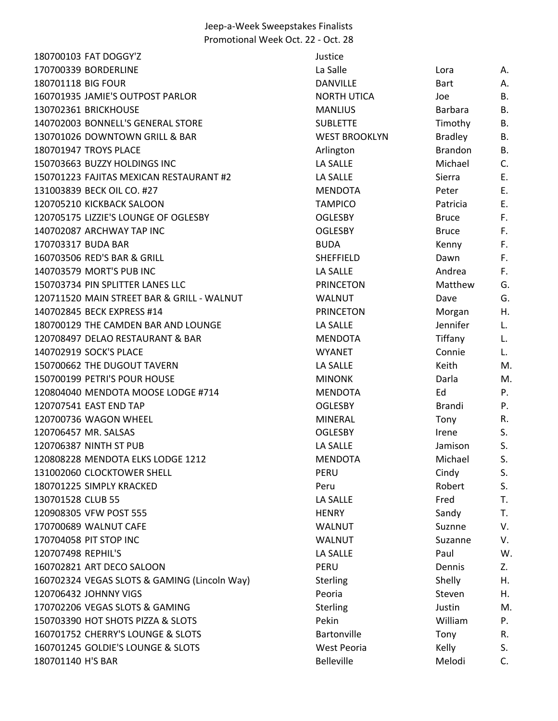| 180700103 FAT DOGGY'Z                        | Justice              |                |           |
|----------------------------------------------|----------------------|----------------|-----------|
| 170700339 BORDERLINE                         | La Salle             | Lora           | Α.        |
| 180701118 BIG FOUR                           | <b>DANVILLE</b>      | <b>Bart</b>    | Α.        |
| 160701935 JAMIE'S OUTPOST PARLOR             | <b>NORTH UTICA</b>   | Joe            | <b>B.</b> |
| 130702361 BRICKHOUSE                         | <b>MANLIUS</b>       | Barbara        | B.        |
| 140702003 BONNELL'S GENERAL STORE            | <b>SUBLETTE</b>      | Timothy        | <b>B.</b> |
| 130701026 DOWNTOWN GRILL & BAR               | <b>WEST BROOKLYN</b> | <b>Bradley</b> | <b>B.</b> |
| 180701947 TROYS PLACE                        | Arlington            | Brandon        | B.        |
| 150703663 BUZZY HOLDINGS INC                 | LA SALLE             | Michael        | C.        |
| 150701223 FAJITAS MEXICAN RESTAURANT #2      | LA SALLE             | Sierra         | Ε.        |
| 131003839 BECK OIL CO. #27                   | <b>MENDOTA</b>       | Peter          | Ε.        |
| 120705210 KICKBACK SALOON                    | <b>TAMPICO</b>       | Patricia       | Ε.        |
| 120705175 LIZZIE'S LOUNGE OF OGLESBY         | <b>OGLESBY</b>       | <b>Bruce</b>   | F.        |
| 140702087 ARCHWAY TAP INC                    | <b>OGLESBY</b>       | <b>Bruce</b>   | F.        |
| 170703317 BUDA BAR                           | <b>BUDA</b>          | Kenny          | F.        |
| 160703506 RED'S BAR & GRILL                  | <b>SHEFFIELD</b>     | Dawn           | F.        |
| 140703579 MORT'S PUB INC                     | <b>LA SALLE</b>      | Andrea         | F.        |
| 150703734 PIN SPLITTER LANES LLC             | <b>PRINCETON</b>     | Matthew        | G.        |
| 120711520 MAIN STREET BAR & GRILL - WALNUT   | <b>WALNUT</b>        | Dave           | G.        |
| 140702845 BECK EXPRESS #14                   | <b>PRINCETON</b>     | Morgan         | Η.        |
| 180700129 THE CAMDEN BAR AND LOUNGE          | <b>LA SALLE</b>      | Jennifer       | L.        |
| 120708497 DELAO RESTAURANT & BAR             | <b>MENDOTA</b>       | Tiffany        | L.        |
| 140702919 SOCK'S PLACE                       | <b>WYANET</b>        | Connie         | L.        |
| 150700662 THE DUGOUT TAVERN                  | LA SALLE             | Keith          | M.        |
| 150700199 PETRI'S POUR HOUSE                 | <b>MINONK</b>        | Darla          | M.        |
| 120804040 MENDOTA MOOSE LODGE #714           | <b>MENDOTA</b>       | Ed             | P.        |
| 120707541 EAST END TAP                       | <b>OGLESBY</b>       | <b>Brandi</b>  | P.        |
| 120700736 WAGON WHEEL                        | <b>MINERAL</b>       | Tony           | R.        |
| 120706457 MR. SALSAS                         | <b>OGLESBY</b>       | Irene          | S.        |
| 120706387 NINTH ST PUB                       | <b>LA SALLE</b>      | Jamison        | S.        |
| 120808228 MENDOTA ELKS LODGE 1212            | <b>MENDOTA</b>       | Michael        | S.        |
| 131002060 CLOCKTOWER SHELL                   | <b>PERU</b>          | Cindy          | S.        |
| 180701225 SIMPLY KRACKED                     | Peru                 | Robert         | S.        |
| 130701528 CLUB 55                            | LA SALLE             | Fred           | T.        |
| 120908305 VFW POST 555                       | <b>HENRY</b>         | Sandy          | T.        |
| 170700689 WALNUT CAFE                        | <b>WALNUT</b>        | Suznne         | V.        |
| 170704058 PIT STOP INC                       | <b>WALNUT</b>        | Suzanne        | V.        |
| 120707498 REPHIL'S                           | LA SALLE             | Paul           | W.        |
| 160702821 ART DECO SALOON                    | PERU                 | Dennis         | Z.        |
| 160702324 VEGAS SLOTS & GAMING (Lincoln Way) | <b>Sterling</b>      | Shelly         | Η.        |
| 120706432 JOHNNY VIGS                        | Peoria               | Steven         | Η.        |
| 170702206 VEGAS SLOTS & GAMING               | <b>Sterling</b>      | Justin         | M.        |
| 150703390 HOT SHOTS PIZZA & SLOTS            | Pekin                | William        | Ρ.        |
| 160701752 CHERRY'S LOUNGE & SLOTS            | Bartonville          | Tony           | R.        |
| 160701245 GOLDIE'S LOUNGE & SLOTS            | West Peoria          | Kelly          | S.        |
| 180701140 H'S BAR                            | Belleville           | Melodi         | C.        |
|                                              |                      |                |           |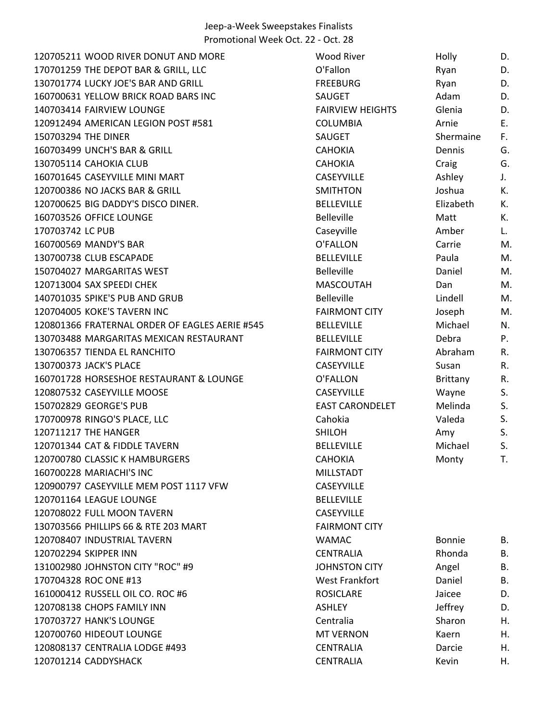120705211 WOOD RIVER DONUT AND MORE 170701259 THE DEPOT BAR & GRILL, LLC 130701774 LUCKY JOE'S BAR AND GRILL 160700631 YELLOW BRICK ROAD BARS INC 140703414 FAIRVIEW LOUNGE 120912494 AMERICAN LEGION POST #581 150703294 THE DINER 160703499 UNCH'S BAR & GRILL 130705114 CAHOKIA CLUB 160701645 CASEYVILLE MINI MART 120700386 NO JACKS BAR & GRILL 120700625 BIG DADDY'S DISCO DINER. 160703526 OFFICE LOUNGE 170703742 LC PUB 160700569 MANDY'S BAR 130700738 CLUB ESCAPADE 150704027 MARGARITAS WEST 120713004 SAX SPEEDI CHEK 140701035 SPIKE'S PUB AND GRUB 120704005 KOKE'S TAVERN INC 120801366 FRATERNAL ORDER OF EAGLES AERIE #545 130703488 MARGARITAS MEXICAN RESTAURANT 130706357 TIENDA EL RANCHITO 130700373 JACK'S PLACE 160701728 HORSESHOE RESTAURANT & LOUNGE 120807532 CASEYVILLE MOOSE 150702829 GEORGE'S PUB 170700978 RINGO'S PLACE, LLC 120711217 THE HANGER 120701344 CAT & FIDDLE TAVERN 120700780 CLASSIC K HAMBURGERS 160700228 MARIACHI'S INC 120900797 CASEYVILLE MEM POST 1117 VFW 120701164 LEAGUE LOUNGE 120708022 FULL MOON TAVERN 130703566 PHILLIPS 66 & RTE 203 MART 120708407 INDUSTRIAL TAVERN 120702294 SKIPPER INN 131002980 JOHNSTON CITY "ROC" #9 170704328 ROC ONE #13 161000412 RUSSELL OIL CO. ROC #6 120708138 CHOPS FAMILY INN 170703727 HANK'S LOUNGE 120700760 HIDEOUT LOUNGE 120808137 CENTRALIA LODGE #493 120701214 CADDYSHACK

| <b>Wood River</b>       | Holly         | D. |
|-------------------------|---------------|----|
| O'Fallon                | Ryan          | D. |
| <b>FREEBURG</b>         | Ryan          | D. |
| SAUGET                  | Adam          | D. |
| <b>FAIRVIEW HEIGHTS</b> | Glenia        | D. |
| <b>COLUMBIA</b>         | Arnie         | Е. |
| <b>SAUGET</b>           | Shermaine     | F. |
| <b>CAHOKIA</b>          | Dennis        | G. |
| <b>CAHOKIA</b>          | Craig         | G. |
| <b>CASEYVILLE</b>       | Ashley        | J. |
| <b>SMITHTON</b>         | Joshua        | К. |
| <b>BELLEVILLE</b>       | Elizabeth     | К. |
| <b>Belleville</b>       | Matt          | К. |
| Caseyville              | Amber         | L. |
| O'FALLON                | Carrie        | M. |
| <b>BELLEVILLE</b>       | Paula         | M. |
| <b>Belleville</b>       | Daniel        | M. |
| <b>MASCOUTAH</b>        | Dan           | M. |
| <b>Belleville</b>       | Lindell       | M. |
| <b>FAIRMONT CITY</b>    | Joseph        | M. |
| <b>BELLEVILLE</b>       | Michael       | N. |
| <b>BELLEVILLE</b>       | Debra         | Р. |
| <b>FAIRMONT CITY</b>    | Abraham       | R. |
| <b>CASEYVILLE</b>       | Susan         | R. |
| O'FALLON                | Brittany      | R. |
| <b>CASEYVILLE</b>       | Wayne         | S. |
| <b>EAST CARONDELET</b>  | Melinda       | S. |
| Cahokia                 | Valeda        | S. |
| <b>SHILOH</b>           | Amy           | S. |
| <b>BELLEVILLE</b>       | Michael       | S. |
| <b>CAHOKIA</b>          | Monty         | T. |
| <b>MILLSTADT</b>        |               |    |
| <b>CASEYVILLE</b>       |               |    |
| <b>BELLEVILLE</b>       |               |    |
| <b>CASEYVILLE</b>       |               |    |
| <b>FAIRMONT CITY</b>    |               |    |
| WAMAC                   | <b>Bonnie</b> | В. |
| <b>CENTRALIA</b>        | Rhonda        | Β. |
| <b>JOHNSTON CITY</b>    | Angel         | Β. |
| <b>West Frankfort</b>   | Daniel        | Β. |
| <b>ROSICLARE</b>        | Jaicee        | D. |
| <b>ASHLEY</b>           | Jeffrey       | D. |
| Centralia               | Sharon        | н. |
| <b>MT VERNON</b>        | Kaern         | Η. |
| <b>CENTRALIA</b>        | Darcie        | Н. |
| <b>CENTRALIA</b>        | Kevin         | Η. |
|                         |               |    |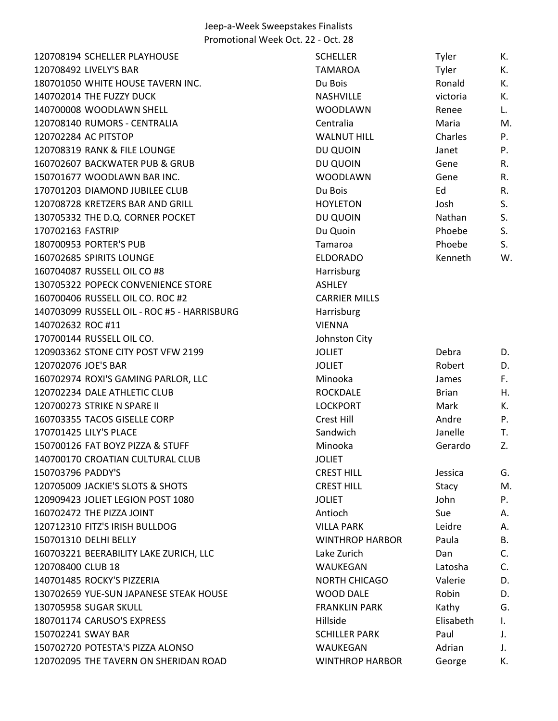| 120708194 SCHELLER PLAYHOUSE                | <b>SCHELLER</b>        | Tyler        | К. |
|---------------------------------------------|------------------------|--------------|----|
| 120708492 LIVELY'S BAR                      | <b>TAMAROA</b>         | Tyler        | К. |
| 180701050 WHITE HOUSE TAVERN INC.           | Du Bois                | Ronald       | К. |
| 140702014 THE FUZZY DUCK                    | NASHVILLE              | victoria     | К. |
| 140700008 WOODLAWN SHELL                    | <b>WOODLAWN</b>        | Renee        | L. |
| 120708140 RUMORS - CENTRALIA                | Centralia              | Maria        | M. |
| 120702284 AC PITSTOP                        | <b>WALNUT HILL</b>     | Charles      | P. |
| 120708319 RANK & FILE LOUNGE                | DU QUOIN               | Janet        | P. |
| 160702607 BACKWATER PUB & GRUB              | DU QUOIN               | Gene         | R. |
| 150701677 WOODLAWN BAR INC.                 | <b>WOODLAWN</b>        | Gene         | R. |
| 170701203 DIAMOND JUBILEE CLUB              | Du Bois                | Ed           | R. |
| 120708728 KRETZERS BAR AND GRILL            | <b>HOYLETON</b>        | Josh         | S. |
| 130705332 THE D.Q. CORNER POCKET            | DU QUOIN               | Nathan       | S. |
| 170702163 FASTRIP                           | Du Quoin               | Phoebe       | S. |
| 180700953 PORTER'S PUB                      | Tamaroa                | Phoebe       | S. |
| 160702685 SPIRITS LOUNGE                    | <b>ELDORADO</b>        | Kenneth      | W. |
| 160704087 RUSSELL OIL CO #8                 | Harrisburg             |              |    |
| 130705322 POPECK CONVENIENCE STORE          | <b>ASHLEY</b>          |              |    |
| 160700406 RUSSELL OIL CO. ROC #2            | <b>CARRIER MILLS</b>   |              |    |
| 140703099 RUSSELL OIL - ROC #5 - HARRISBURG | Harrisburg             |              |    |
| 140702632 ROC #11                           | <b>VIENNA</b>          |              |    |
| 170700144 RUSSELL OIL CO.                   | Johnston City          |              |    |
| 120903362 STONE CITY POST VFW 2199          | <b>JOLIET</b>          | Debra        | D. |
| 120702076 JOE'S BAR                         | <b>JOLIET</b>          | Robert       | D. |
| 160702974 ROXI'S GAMING PARLOR, LLC         | Minooka                | James        | F. |
| 120702234 DALE ATHLETIC CLUB                | <b>ROCKDALE</b>        | <b>Brian</b> | Η. |
| 120700273 STRIKE N SPARE II                 | <b>LOCKPORT</b>        | Mark         | К. |
| 160703355 TACOS GISELLE CORP                | Crest Hill             | Andre        | P. |
| 170701425 LILY'S PLACE                      | Sandwich               | Janelle      | Т. |
| 150700126 FAT BOYZ PIZZA & STUFF            | Minooka                | Gerardo      | Z. |
| 140700170 CROATIAN CULTURAL CLUB            | <b>JOLIET</b>          |              |    |
| 150703796 PADDY'S                           | <b>CREST HILL</b>      | Jessica      | G. |
| 120705009 JACKIE'S SLOTS & SHOTS            | <b>CREST HILL</b>      | Stacy        | M. |
| 120909423 JOLIET LEGION POST 1080           | <b>JOLIET</b>          | John         | P. |
| 160702472 THE PIZZA JOINT                   | Antioch                | Sue          | Α. |
| 120712310 FITZ'S IRISH BULLDOG              | <b>VILLA PARK</b>      | Leidre       | А. |
| 150701310 DELHI BELLY                       | <b>WINTHROP HARBOR</b> | Paula        | В. |
| 160703221 BEERABILITY LAKE ZURICH, LLC      | Lake Zurich            | Dan          | C. |
| 120708400 CLUB 18                           | WAUKEGAN               | Latosha      | C. |
| 140701485 ROCKY'S PIZZERIA                  | <b>NORTH CHICAGO</b>   | Valerie      | D. |
| 130702659 YUE-SUN JAPANESE STEAK HOUSE      | <b>WOOD DALE</b>       | Robin        | D. |
| 130705958 SUGAR SKULL                       | <b>FRANKLIN PARK</b>   | Kathy        | G. |
| 180701174 CARUSO'S EXPRESS                  | Hillside               | Elisabeth    | I. |
| 150702241 SWAY BAR                          | <b>SCHILLER PARK</b>   | Paul         | J. |
| 150702720 POTESTA'S PIZZA ALONSO            | WAUKEGAN               | Adrian       | J. |
| 120702095 THE TAVERN ON SHERIDAN ROAD       | <b>WINTHROP HARBOR</b> | George       | К. |
|                                             |                        |              |    |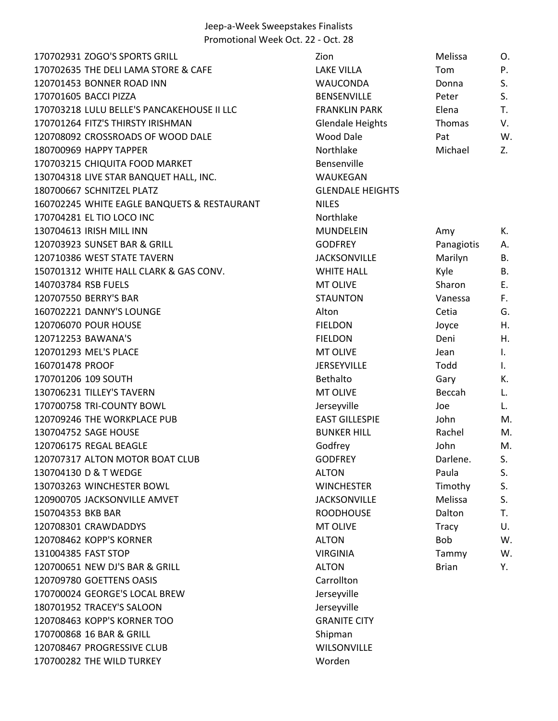ZOGO'S SPORTS GRILL Zion Melissa O. 170702635 THE DELI LAMA STORE & CAFE LAKE VILLA TOM TOM P. 120701453 BONNER ROAD INN WAUCONDA Donna S. 170701605 BACCI PIZZA BENSENVILLE Peter S. LULU BELLE'S PANCAKEHOUSE II LLC FRANKLIN PARK Elena T. FITZ'S THIRSTY IRISHMAN Glendale Heights Thomas V. CROSSROADS OF WOOD DALE Wood Dale Pat W. 180700969 HAPPY TAPPER TABLE 2. CHIQUITA FOOD MARKET Bensenville LIVE STAR BANQUET HALL, INC. WAUKEGAN SCHNITZEL PLATZ GLENDALE HEIGHTS WHITE EAGLE BANQUETS & RESTAURANT NILES 170704281 EL TIO LOCO INC NORTHLAND RESERVE TO A NORTHLAND NOT NOT NOT A NORTHLAND RESERVE TO A NORTHLAND RESERVE TO A NORTHLAND RESERVE TO A NORTHLAND RESERVE TO A NORTHLAND RESERVE TO A NORTHLAND RESERVE TO A NORTHLAND R 130704613 IRISH MILL INN GALLACH MUNDELEIN Amy K. SUNSET BAR & GRILL GODFREY Panagiotis A. 120710386 WEST STATE TAVERN **Marrilyn B.** ACKSONVILLE Marilyn B. WHITE HALL CLARK & GAS CONV. WHITE HALL Kyle B. RSB FUELS MT OLIVE Sharon E. BERRY'S BAR STAUNTON Vanessa F. 160702221 DANNY'S LOUNGE THE CONSERVERT CONSUMING ALTON ALTON ALTON CONSUMING CONSUMING CONSUMING CONSUMING CO POUR HOUSE FIELDON Joyce H. BAWANA'S FIELDON Deni H. 120701293 MEL'S PLACE THE CONSTRUCTION OF THE MT OLIVE THE METAL DESIGN OF THE LIGATION OF THE LIGATION OF THE PROOF JERSEYVILLE Todd I. 109 SOUTH Bethalto Gary K. TILLEY'S TAVERN MT OLIVE Beccah L. TRI-COUNTY BOWL Jerseyville Joe L. THE WORKPLACE PUB EAST GILLESPIE John M. SAGE HOUSE BUNKER HILL Rachel M. REGAL BEAGLE Godfrey John M. 120707317 ALTON MOTOR BOAT CLUB GODFREY Darlene. S. 130704130 D & T WEDGE THE RESERVE ALTON THE PAULA S. 130703263 WINCHESTER BOWL **WINCHESTER Timothy** S. 120900705 JACKSONVILLE AMVET THE SERVICE SERVICE SERVICE THE Melissa S. 150704353 BKB BAR **ROODHOUSE** Dalton T. CRAWDADDYS MT OLIVE Tracy U. KOPP'S KORNER ALTON Bob W. FAST STOP VIRGINIA Tammy W. 120700651 NEW DJ'S BAR & GRILL ALTON ALTON Brian Brian Brian Brian GOETTENS OASIS Carrollton GEORGE'S LOCAL BREW Jerseyville TRACEY'S SALOON Jerseyville KOPP'S KORNER TOO GRANITE CITY 170700868 16 BAR & GRILL Shipman PROGRESSIVE CLUB WILSONVILLE THE WILD TURKEY Worden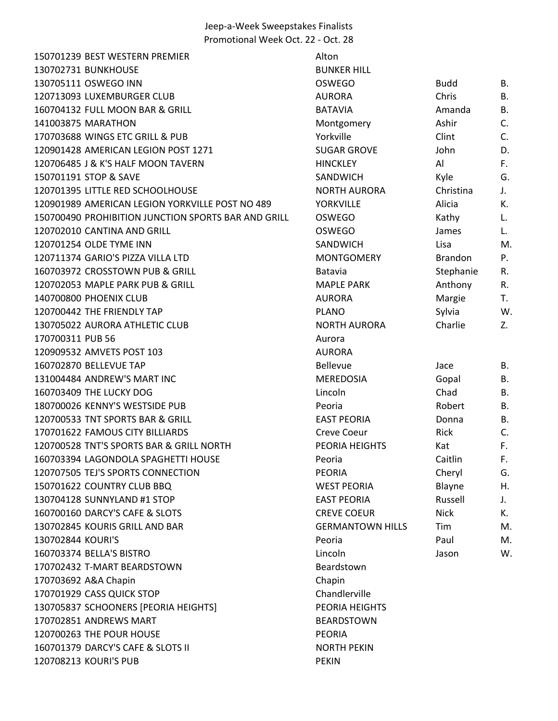150701239 BEST WESTERN PREMIER Alton 130702731 BUNKHOUSE BUNKER HILLE BUNKER 130705111 OSWEGO INN OSWEGO Budd B. 120713093 LUXEMBURGER CLUB AURORA CHRIS B. AURORA 160704132 FULL MOON BAR & GRILL BATAVIA 141003875 MARATHON Montgomery Ashir C. Montgomery Ashir C. Montgomery Ashir C. Montgomery Ashir C. Montgomery 170703688 WINGS ETC GRILL & PUB YORKVILLE CLINT CONSERVENT CONTROL CONTROL CONTROL CONTROL CONTROL CONTROL CONTR 120901428 AMERICAN LEGION POST 1271 SUGAR G 120706485 J & K'S HALF MOON TAVERN HINCKLE 150701191 STOP & SAVE SANDWI 120701395 LITTLE RED SCHOOLHOUSE NORTH AURORA CHRISTINA IN NORTH A 120901989 AMERICAN LEGION YORKVILLE POST NO 489 YORKVIL 150700490 PROHIBITION JUNCTION SPORTS BAR AND GRILL OSWEGO Kathy L. 120702010 CANTINA AND GRILL **CONSERVEY CONSERVED AND STRUCK** OSWEGO 120701254 OLDE TYME INN SANDWI 120711374 GARIO'S PIZZA VILLA LTD **MONTGOMERY BRAND** 160703972 CROSSTOWN PUB & GRILL Batavia Batavia 120702053 MAPLE PARK PUB & GRILL MAPLE PARK AND BLOCK AND MAPLE PARK PUB & GRILL 140700800 PHOENIX CLUB AURORA MARGIE TEST AND AURORA 120700442 THE FRIENDLY TAP **PLANO** 130705022 AURORA ATHLETIC CLUB NORTH AURORA CHARLIE Z. NORTH 170700311 PUB 56 Aurora 2010 170700311 PUB 56 120909532 AMVETS POST 103 AURORA 160702870 BELLEVUE TAP BELLEVUE TAP 131004484 ANDREW'S MART INC MEREDOS 160703409 THE LUCKY DOG Lincoln Chad B. Lincoln Chad B. Lincoln Chad B. Lincoln Chad B. Lincoln Chad B. Lincoln 180700026 KENNY'S WESTSIDE PUB PERSON REPORTS 120700533 TNT SPORTS BAR & GRILL EAST PEORIAL BAST PEORIAL BAST PEORIAL BAST PEORI 170701622 FAMOUS CITY BILLIARDS CREVE CONTROLLER CONTROLLER CONTROLLER CONTROLLER CO 120700528 TNT'S SPORTS BAR & GRILL NORTH PEORIA H 160703394 LAGONDOLA SPAGHETTI HOUSE Peoria 120707505 TEJ'S SPORTS CONNECTION PEORIA Cheryl G. 150701622 COUNTRY CLUB BBQ WEST PE 130704128 SUNNYLAND #1 STOP EAST PEORIAL RUSSELL AND REAST PEOR 160700160 DARCY'S CAFE & SLOTS CONTROLLER CONTROLLER CREVE C 130702845 KOURIS GRILL AND BAR GERMANT GERMANTS 130702844 KOURI'S Peoria Paul Maria Maria Peoria Peoria 160703374 BELLA'S BISTRO Lincoln Jason W. 170702432 T-MART BEARDSTOWN Beardstown 170703692 A&A Chapin Chapin 170701929 CASS QUICK STOP Chandler 130705837 SCHOONERS [PEORIA HEIGHTS] PEORIA PEORIA I 170702851 ANDREWS MART BEARDSTOWN BEARDSTOWN 120700263 THE POUR HOUSE PEORIA 160701379 DARCY'S CAFE & SLOTS II NORTH PEKIN 120708213 KOURI'S PUB PEKIN

| <b>HILL</b>        |                |    |
|--------------------|----------------|----|
| ງ                  | <b>Budd</b>    | Β. |
|                    | Chris          | Β. |
|                    | Amanda         | Β. |
| mery               | Ashir          | C. |
|                    | Clint          | C. |
| <b>GROVE</b>       | John           | D. |
| Y                  | Al             | F. |
| <b>CH</b>          | Kyle           | G. |
| <b>AURORA</b>      | Christina      | J. |
| LE                 | Alicia         | K. |
| $\mathcal{C}$      | Kathy          | L. |
| Ć                  | James          | L. |
| <b>CH</b>          | Lisa           | M  |
| OMERY              | <b>Brandon</b> | P. |
|                    | Stephanie      | R. |
| <b>ARK</b>         | Anthony        | R. |
| Í                  | Margie         | T. |
|                    | Sylvia         | W  |
| <b>AURORA</b>      | Charlie        | Z. |
|                    |                |    |
|                    |                |    |
|                    | Jace           | В. |
| )SIA               | Gopal          | Β. |
|                    | Chad           | Β. |
|                    | Robert         | В. |
| ORIA               | Donna          | Β. |
| eur                | Rick           | C. |
| <b>HEIGHTS</b>     | Kat            | F. |
|                    | Caitlin        | F. |
|                    |                |    |
|                    | Cheryl         | G. |
| ORIA               | Blayne         | Η. |
| ORIA               | Russell        | J. |
| OEUR               | <b>Nick</b>    | K. |
| <b>NTOWN HILLS</b> | Tim            | M  |
|                    | Paul           | M  |
|                    | Jason          | W  |
| )wn                |                |    |
| rville             |                |    |
| <b>HEIGHTS</b>     |                |    |
|                    |                |    |
| <b>TOWN</b>        |                |    |
|                    |                |    |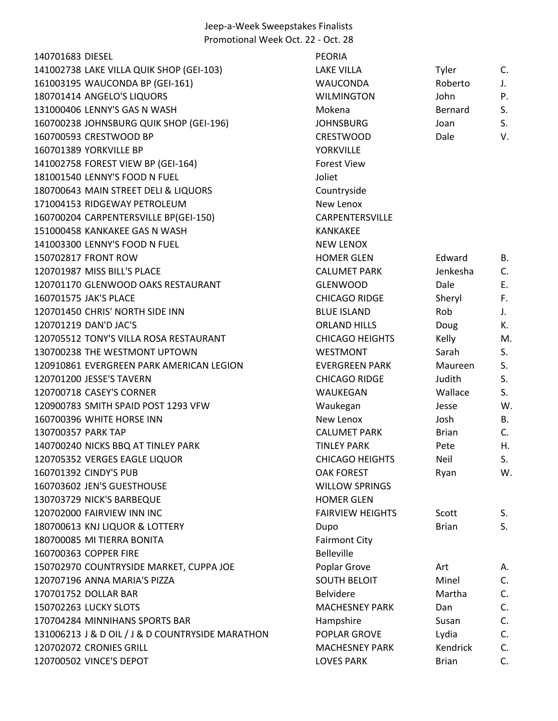| 140701683 DIESEL                                 | <b>PEORIA</b>           |              |           |
|--------------------------------------------------|-------------------------|--------------|-----------|
| 141002738 LAKE VILLA QUIK SHOP (GEI-103)         | <b>LAKE VILLA</b>       | Tyler        | C.        |
| 161003195 WAUCONDA BP (GEI-161)                  | WAUCONDA                | Roberto      | J.        |
| 180701414 ANGELO'S LIQUORS                       | <b>WILMINGTON</b>       | John         | P.        |
| 131000406 LENNY'S GAS N WASH                     | Mokena                  | Bernard      | S.        |
| 160700238 JOHNSBURG QUIK SHOP (GEI-196)          | <b>JOHNSBURG</b>        | Joan         | S.        |
| 160700593 CRESTWOOD BP                           | <b>CRESTWOOD</b>        | Dale         | V.        |
| 160701389 YORKVILLE BP                           | <b>YORKVILLE</b>        |              |           |
| 141002758 FOREST VIEW BP (GEI-164)               | <b>Forest View</b>      |              |           |
| 181001540 LENNY'S FOOD N FUEL                    | Joliet                  |              |           |
| 180700643 MAIN STREET DELI & LIQUORS             | Countryside             |              |           |
| 171004153 RIDGEWAY PETROLEUM                     | New Lenox               |              |           |
| 160700204 CARPENTERSVILLE BP(GEI-150)            | <b>CARPENTERSVILLE</b>  |              |           |
| 151000458 KANKAKEE GAS N WASH                    | <b>KANKAKEE</b>         |              |           |
| 141003300 LENNY'S FOOD N FUEL                    | <b>NEW LENOX</b>        |              |           |
| 150702817 FRONT ROW                              | <b>HOMER GLEN</b>       | Edward       | В.        |
| 120701987 MISS BILL'S PLACE                      | <b>CALUMET PARK</b>     | Jenkesha     | C.        |
| 120701170 GLENWOOD OAKS RESTAURANT               | <b>GLENWOOD</b>         | Dale         | E.        |
| 160701575 JAK'S PLACE                            | <b>CHICAGO RIDGE</b>    | Sheryl       | F.        |
| 120701450 CHRIS' NORTH SIDE INN                  | <b>BLUE ISLAND</b>      | Rob          | J.        |
| 120701219 DAN'D JAC'S                            | <b>ORLAND HILLS</b>     | Doug         | К.        |
| 120705512 TONY'S VILLA ROSA RESTAURANT           | <b>CHICAGO HEIGHTS</b>  | Kelly        | M.        |
| 130700238 THE WESTMONT UPTOWN                    | <b>WESTMONT</b>         | Sarah        | S.        |
| 120910861 EVERGREEN PARK AMERICAN LEGION         | <b>EVERGREEN PARK</b>   | Maureen      | S.        |
| 120701200 JESSE'S TAVERN                         | <b>CHICAGO RIDGE</b>    | Judith       | S.        |
| 120700718 CASEY'S CORNER                         | WAUKEGAN                | Wallace      | S.        |
| 120900783 SMITH SPAID POST 1293 VFW              | Waukegan                | Jesse        | W.        |
| 160700396 WHITE HORSE INN                        | New Lenox               | Josh         | <b>B.</b> |
| 130700357 PARK TAP                               | <b>CALUMET PARK</b>     | <b>Brian</b> | C.        |
| 140700240 NICKS BBQ AT TINLEY PARK               | <b>TINLEY PARK</b>      | Pete         | Η.        |
| 120705352 VERGES EAGLE LIQUOR                    | <b>CHICAGO HEIGHTS</b>  | <b>Neil</b>  | S.        |
| 160701392 CINDY'S PUB                            | <b>OAK FOREST</b>       | Ryan         | W.        |
| 160703602 JEN'S GUESTHOUSE                       | <b>WILLOW SPRINGS</b>   |              |           |
| 130703729 NICK'S BARBEQUE                        | <b>HOMER GLEN</b>       |              |           |
| 120702000 FAIRVIEW INN INC                       | <b>FAIRVIEW HEIGHTS</b> | Scott        | S.        |
| 180700613 KNJ LIQUOR & LOTTERY                   | Dupo                    | <b>Brian</b> | S.        |
| 180700085 MI TIERRA BONITA                       | <b>Fairmont City</b>    |              |           |
| 160700363 COPPER FIRE                            | <b>Belleville</b>       |              |           |
| 150702970 COUNTRYSIDE MARKET, CUPPA JOE          | Poplar Grove            | Art          | А.        |
| 120707196 ANNA MARIA'S PIZZA                     | <b>SOUTH BELOIT</b>     | Minel        | C.        |
| 170701752 DOLLAR BAR                             | <b>Belvidere</b>        | Martha       | C.        |
| 150702263 LUCKY SLOTS                            | <b>MACHESNEY PARK</b>   | Dan          | C.        |
| 170704284 MINNIHANS SPORTS BAR                   | Hampshire               | Susan        | C.        |
| 131006213 J & D OIL / J & D COUNTRYSIDE MARATHON | POPLAR GROVE            | Lydia        | C.        |
| 120702072 CRONIES GRILL                          | <b>MACHESNEY PARK</b>   | Kendrick     | C.        |
| 120700502 VINCE'S DEPOT                          | <b>LOVES PARK</b>       | <b>Brian</b> | C.        |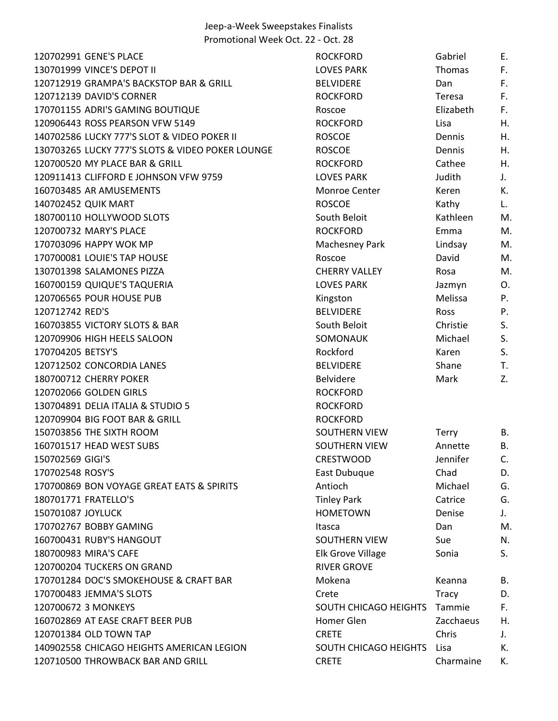| 120702991 GENE'S PLACE                           | <b>ROCKFORD</b>              | Gabriel      | Е. |
|--------------------------------------------------|------------------------------|--------------|----|
| 130701999 VINCE'S DEPOT II                       | <b>LOVES PARK</b>            | Thomas       | F. |
| 120712919 GRAMPA'S BACKSTOP BAR & GRILL          | <b>BELVIDERE</b>             | Dan          | F. |
| 120712139 DAVID'S CORNER                         | <b>ROCKFORD</b>              | Teresa       | F. |
| 170701155 ADRI'S GAMING BOUTIQUE                 | Roscoe                       | Elizabeth    | F. |
| 120906443 ROSS PEARSON VFW 5149                  | <b>ROCKFORD</b>              | Lisa         | Η. |
| 140702586 LUCKY 777'S SLOT & VIDEO POKER II      | <b>ROSCOE</b>                | Dennis       | Η. |
| 130703265 LUCKY 777'S SLOTS & VIDEO POKER LOUNGE | <b>ROSCOE</b>                | Dennis       | Η. |
| 120700520 MY PLACE BAR & GRILL                   | <b>ROCKFORD</b>              | Cathee       | Η. |
| 120911413 CLIFFORD E JOHNSON VFW 9759            | <b>LOVES PARK</b>            | Judith       | J. |
| 160703485 AR AMUSEMENTS                          | Monroe Center                | Keren        | К. |
| 140702452 QUIK MART                              | <b>ROSCOE</b>                | Kathy        | L. |
| 180700110 HOLLYWOOD SLOTS                        | South Beloit                 | Kathleen     | M. |
| 120700732 MARY'S PLACE                           | <b>ROCKFORD</b>              | Emma         | M. |
| 170703096 HAPPY WOK MP                           | Machesney Park               | Lindsay      | M. |
| 170700081 LOUIE'S TAP HOUSE                      | Roscoe                       | David        | M. |
| 130701398 SALAMONES PIZZA                        | <b>CHERRY VALLEY</b>         | Rosa         | M. |
| 160700159 QUIQUE'S TAQUERIA                      | <b>LOVES PARK</b>            | Jazmyn       | O. |
| 120706565 POUR HOUSE PUB                         | Kingston                     | Melissa      | Ρ. |
| 120712742 RED'S                                  | <b>BELVIDERE</b>             | <b>Ross</b>  | P. |
| 160703855 VICTORY SLOTS & BAR                    | South Beloit                 | Christie     | S. |
| 120709906 HIGH HEELS SALOON                      | SOMONAUK                     | Michael      | S. |
| 170704205 BETSY'S                                | Rockford                     | Karen        | S. |
| 120712502 CONCORDIA LANES                        | <b>BELVIDERE</b>             | Shane        | T. |
| 180700712 CHERRY POKER                           | <b>Belvidere</b>             | Mark         | Z. |
| 120702066 GOLDEN GIRLS                           | <b>ROCKFORD</b>              |              |    |
| 130704891 DELIA ITALIA & STUDIO 5                | <b>ROCKFORD</b>              |              |    |
| 120709904 BIG FOOT BAR & GRILL                   | <b>ROCKFORD</b>              |              |    |
| 150703856 THE SIXTH ROOM                         | SOUTHERN VIEW                | <b>Terry</b> | В. |
| 160701517 HEAD WEST SUBS                         | <b>SOUTHERN VIEW</b>         | Annette      | В. |
| 150702569 GIGI'S                                 | <b>CRESTWOOD</b>             | Jennifer     | C. |
| 170702548 ROSY'S                                 | East Dubuque                 | Chad         | D. |
| 170700869 BON VOYAGE GREAT EATS & SPIRITS        | Antioch                      | Michael      | G. |
| 180701771 FRATELLO'S                             | <b>Tinley Park</b>           | Catrice      | G. |
| 150701087 JOYLUCK                                | <b>HOMETOWN</b>              | Denise       | J. |
| 170702767 BOBBY GAMING                           | Itasca                       | Dan          | M. |
| 160700431 RUBY'S HANGOUT                         | SOUTHERN VIEW                | Sue          | N. |
| 180700983 MIRA'S CAFE                            | Elk Grove Village            | Sonia        | S. |
| 120700204 TUCKERS ON GRAND                       | <b>RIVER GROVE</b>           |              |    |
| 170701284 DOC'S SMOKEHOUSE & CRAFT BAR           | Mokena                       | Keanna       | В. |
| 170700483 JEMMA'S SLOTS                          | Crete                        | <b>Tracy</b> | D. |
| 120700672 3 MONKEYS                              | <b>SOUTH CHICAGO HEIGHTS</b> | Tammie       | F. |
| 160702869 AT EASE CRAFT BEER PUB                 | Homer Glen                   | Zacchaeus    | Η. |
| 120701384 OLD TOWN TAP                           | <b>CRETE</b>                 | Chris        | J. |
| 140902558 CHICAGO HEIGHTS AMERICAN LEGION        | SOUTH CHICAGO HEIGHTS        | Lisa         | К. |
| 120710500 THROWBACK BAR AND GRILL                | <b>CRETE</b>                 | Charmaine    | К. |
|                                                  |                              |              |    |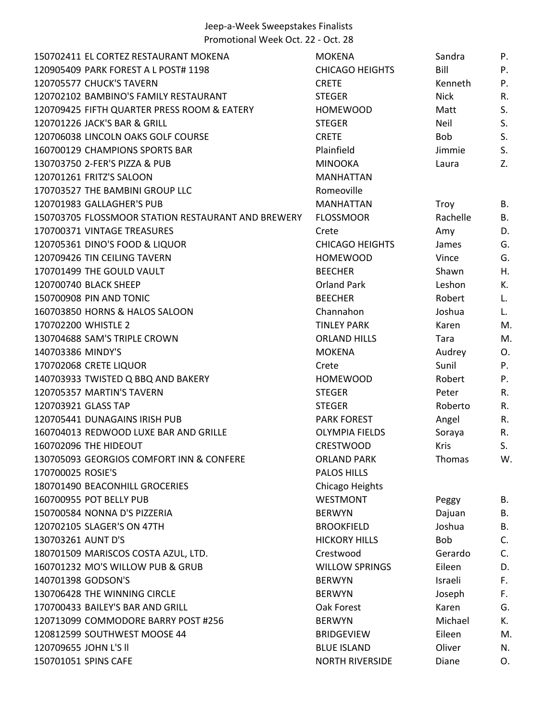| 150702411 EL CORTEZ RESTAURANT MOKENA              | <b>MOKENA</b>          | Sandra      | Ρ.        |
|----------------------------------------------------|------------------------|-------------|-----------|
| 120905409 PARK FOREST A L POST# 1198               | <b>CHICAGO HEIGHTS</b> | Bill        | P.        |
| 120705577 CHUCK'S TAVERN                           | <b>CRETE</b>           | Kenneth     | P.        |
| 120702102 BAMBINO'S FAMILY RESTAURANT              | <b>STEGER</b>          | <b>Nick</b> | R.        |
| 120709425 FIFTH QUARTER PRESS ROOM & EATERY        | <b>HOMEWOOD</b>        | Matt        | S.        |
| 120701226 JACK'S BAR & GRILL                       | <b>STEGER</b>          | <b>Neil</b> | S.        |
| 120706038 LINCOLN OAKS GOLF COURSE                 | <b>CRETE</b>           | <b>Bob</b>  | S.        |
| 160700129 CHAMPIONS SPORTS BAR                     | Plainfield             | Jimmie      | S.        |
| 130703750 2-FER'S PIZZA & PUB                      | <b>MINOOKA</b>         | Laura       | Z.        |
| 120701261 FRITZ'S SALOON                           | <b>MANHATTAN</b>       |             |           |
| 170703527 THE BAMBINI GROUP LLC                    | Romeoville             |             |           |
| 120701983 GALLAGHER'S PUB                          | <b>MANHATTAN</b>       | Troy        | В.        |
| 150703705 FLOSSMOOR STATION RESTAURANT AND BREWERY | <b>FLOSSMOOR</b>       | Rachelle    | В.        |
| 170700371 VINTAGE TREASURES                        | Crete                  | Amy         | D.        |
| 120705361 DINO'S FOOD & LIQUOR                     | <b>CHICAGO HEIGHTS</b> | James       | G.        |
| 120709426 TIN CEILING TAVERN                       | <b>HOMEWOOD</b>        | Vince       | G.        |
| 170701499 THE GOULD VAULT                          | <b>BEECHER</b>         | Shawn       | Η.        |
| 120700740 BLACK SHEEP                              | <b>Orland Park</b>     | Leshon      | К.        |
| 150700908 PIN AND TONIC                            | <b>BEECHER</b>         | Robert      | L.        |
| 160703850 HORNS & HALOS SALOON                     | Channahon              | Joshua      | L.        |
| 170702200 WHISTLE 2                                | <b>TINLEY PARK</b>     | Karen       | M.        |
| 130704688 SAM'S TRIPLE CROWN                       | <b>ORLAND HILLS</b>    | Tara        | M.        |
| 140703386 MINDY'S                                  | <b>MOKENA</b>          | Audrey      | O.        |
| 170702068 CRETE LIQUOR                             | Crete                  | Sunil       | Ρ.        |
| 140703933 TWISTED Q BBQ AND BAKERY                 | <b>HOMEWOOD</b>        | Robert      | Ρ.        |
| 120705357 MARTIN'S TAVERN                          | <b>STEGER</b>          | Peter       | R.        |
| 120703921 GLASS TAP                                | <b>STEGER</b>          | Roberto     | R.        |
| 120705441 DUNAGAINS IRISH PUB                      | <b>PARK FOREST</b>     | Angel       | R.        |
| 160704013 REDWOOD LUXE BAR AND GRILLE              | <b>OLYMPIA FIELDS</b>  | Soraya      | R.        |
| 160702096 THE HIDEOUT                              | <b>CRESTWOOD</b>       | <b>Kris</b> | S.        |
| 130705093 GEORGIOS COMFORT INN & CONFERE           | <b>ORLAND PARK</b>     | Thomas      | W.        |
| 170700025 ROSIE'S                                  | <b>PALOS HILLS</b>     |             |           |
| 180701490 BEACONHILL GROCERIES                     | Chicago Heights        |             |           |
| 160700955 POT BELLY PUB                            | <b>WESTMONT</b>        | Peggy       | В.        |
| 150700584 NONNA D'S PIZZERIA                       | <b>BERWYN</b>          | Dajuan      | В.        |
| 120702105 SLAGER'S ON 47TH                         | <b>BROOKFIELD</b>      | Joshua      | <b>B.</b> |
| 130703261 AUNT D'S                                 | <b>HICKORY HILLS</b>   | Bob         | C.        |
| 180701509 MARISCOS COSTA AZUL, LTD.                | Crestwood              | Gerardo     | C.        |
| 160701232 MO'S WILLOW PUB & GRUB                   | <b>WILLOW SPRINGS</b>  | Eileen      | D.        |
| 140701398 GODSON'S                                 | <b>BERWYN</b>          | Israeli     | F.        |
| 130706428 THE WINNING CIRCLE                       | <b>BERWYN</b>          | Joseph      | F.        |
| 170700433 BAILEY'S BAR AND GRILL                   | Oak Forest             | Karen       | G.        |
| 120713099 COMMODORE BARRY POST #256                | <b>BERWYN</b>          | Michael     | К.        |
| 120812599 SOUTHWEST MOOSE 44                       | <b>BRIDGEVIEW</b>      | Eileen      | M.        |
| 120709655 JOHN L'S II                              | <b>BLUE ISLAND</b>     | Oliver      | N.        |
| 150701051 SPINS CAFE                               | <b>NORTH RIVERSIDE</b> | Diane       | 0.        |
|                                                    |                        |             |           |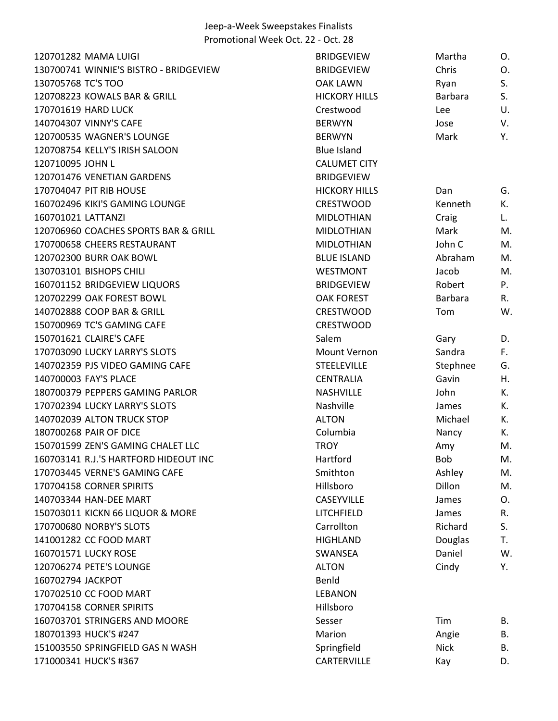| 130700741 WINNIE'S BISTRO - BRIDGEVIEW<br>Chris<br>O.<br><b>BRIDGEVIEW</b><br>S.<br>130705768 TC'S TOO<br><b>OAK LAWN</b><br>Ryan<br>S.<br>120708223 KOWALS BAR & GRILL<br><b>HICKORY HILLS</b><br>Barbara<br>U.<br>170701619 HARD LUCK<br>Crestwood<br>Lee<br>140704307 VINNY'S CAFE<br><b>BERWYN</b><br>V.<br>Jose<br>120700535 WAGNER'S LOUNGE<br>Mark<br>Υ.<br><b>BERWYN</b><br>120708754 KELLY'S IRISH SALOON<br><b>Blue Island</b><br>120710095 JOHN L<br><b>CALUMET CITY</b><br>120701476 VENETIAN GARDENS<br><b>BRIDGEVIEW</b><br>170704047 PIT RIB HOUSE<br><b>HICKORY HILLS</b><br>Dan<br>G.<br>К.<br>160702496 KIKI'S GAMING LOUNGE<br><b>CRESTWOOD</b><br>Kenneth<br>160701021 LATTANZI<br><b>MIDLOTHIAN</b><br>Craig<br>L.<br>120706960 COACHES SPORTS BAR & GRILL<br>Mark<br>M.<br><b>MIDLOTHIAN</b><br>John C<br>170700658 CHEERS RESTAURANT<br><b>MIDLOTHIAN</b><br>M.<br>120702300 BURR OAK BOWL<br><b>BLUE ISLAND</b><br>Abraham<br>M.<br>130703101 BISHOPS CHILI<br>M.<br>WESTMONT<br>Jacob<br>P.<br>160701152 BRIDGEVIEW LIQUORS<br>Robert<br><b>BRIDGEVIEW</b><br>120702299 OAK FOREST BOWL<br>Barbara<br><b>OAK FOREST</b><br>R.<br>140702888 COOP BAR & GRILL<br>W.<br><b>CRESTWOOD</b><br>Tom<br>150700969 TC'S GAMING CAFE<br><b>CRESTWOOD</b><br>150701621 CLAIRE'S CAFE<br>Salem<br>Gary<br>D.<br>170703090 LUCKY LARRY'S SLOTS<br>Mount Vernon<br>Sandra<br>F.<br>140702359 PJS VIDEO GAMING CAFE<br><b>STEELEVILLE</b><br>Stephnee<br>G.<br>Gavin<br>140700003 FAY'S PLACE<br><b>CENTRALIA</b><br>Η.<br>180700379 PEPPERS GAMING PARLOR<br><b>NASHVILLE</b><br>John<br>К.<br>170702394 LUCKY LARRY'S SLOTS<br>Nashville<br>К.<br>James<br>140702039 ALTON TRUCK STOP<br>Michael<br><b>ALTON</b><br>К.<br>180700268 PAIR OF DICE<br>Columbia<br>Nancy<br>К.<br>150701599 ZEN'S GAMING CHALET LLC<br><b>TROY</b><br>M.<br>Amy<br>160703141 R.J.'S HARTFORD HIDEOUT INC<br>Hartford<br><b>Bob</b><br>M.<br>170703445 VERNE'S GAMING CAFE<br>Smithton<br>Ashley<br>M.<br>Hillsboro<br>Dillon<br>170704158 CORNER SPIRITS<br>M.<br>140703344 HAN-DEE MART<br><b>CASEYVILLE</b><br>James<br>O.<br>150703011 KICKN 66 LIQUOR & MORE<br>LITCHFIELD<br>James<br>R.<br>170700680 NORBY'S SLOTS<br>S.<br>Carrollton<br>Richard<br>141001282 CC FOOD MART<br><b>HIGHLAND</b><br>Douglas<br>T.<br>160701571 LUCKY ROSE<br>Daniel<br>W.<br><b>SWANSEA</b><br>120706274 PETE'S LOUNGE<br>Cindy<br><b>ALTON</b><br>Υ.<br>160702794 JACKPOT<br>Benld |
|------------------------------------------------------------------------------------------------------------------------------------------------------------------------------------------------------------------------------------------------------------------------------------------------------------------------------------------------------------------------------------------------------------------------------------------------------------------------------------------------------------------------------------------------------------------------------------------------------------------------------------------------------------------------------------------------------------------------------------------------------------------------------------------------------------------------------------------------------------------------------------------------------------------------------------------------------------------------------------------------------------------------------------------------------------------------------------------------------------------------------------------------------------------------------------------------------------------------------------------------------------------------------------------------------------------------------------------------------------------------------------------------------------------------------------------------------------------------------------------------------------------------------------------------------------------------------------------------------------------------------------------------------------------------------------------------------------------------------------------------------------------------------------------------------------------------------------------------------------------------------------------------------------------------------------------------------------------------------------------------------------------------------------------------------------------------------------------------------------------------------------------------------------------------------------------------------------------------------------------------------------------------------------------------------------------------------------------------------------------------------------------------------------------------------------------------------------------|
|                                                                                                                                                                                                                                                                                                                                                                                                                                                                                                                                                                                                                                                                                                                                                                                                                                                                                                                                                                                                                                                                                                                                                                                                                                                                                                                                                                                                                                                                                                                                                                                                                                                                                                                                                                                                                                                                                                                                                                                                                                                                                                                                                                                                                                                                                                                                                                                                                                                                  |
|                                                                                                                                                                                                                                                                                                                                                                                                                                                                                                                                                                                                                                                                                                                                                                                                                                                                                                                                                                                                                                                                                                                                                                                                                                                                                                                                                                                                                                                                                                                                                                                                                                                                                                                                                                                                                                                                                                                                                                                                                                                                                                                                                                                                                                                                                                                                                                                                                                                                  |
|                                                                                                                                                                                                                                                                                                                                                                                                                                                                                                                                                                                                                                                                                                                                                                                                                                                                                                                                                                                                                                                                                                                                                                                                                                                                                                                                                                                                                                                                                                                                                                                                                                                                                                                                                                                                                                                                                                                                                                                                                                                                                                                                                                                                                                                                                                                                                                                                                                                                  |
|                                                                                                                                                                                                                                                                                                                                                                                                                                                                                                                                                                                                                                                                                                                                                                                                                                                                                                                                                                                                                                                                                                                                                                                                                                                                                                                                                                                                                                                                                                                                                                                                                                                                                                                                                                                                                                                                                                                                                                                                                                                                                                                                                                                                                                                                                                                                                                                                                                                                  |
|                                                                                                                                                                                                                                                                                                                                                                                                                                                                                                                                                                                                                                                                                                                                                                                                                                                                                                                                                                                                                                                                                                                                                                                                                                                                                                                                                                                                                                                                                                                                                                                                                                                                                                                                                                                                                                                                                                                                                                                                                                                                                                                                                                                                                                                                                                                                                                                                                                                                  |
|                                                                                                                                                                                                                                                                                                                                                                                                                                                                                                                                                                                                                                                                                                                                                                                                                                                                                                                                                                                                                                                                                                                                                                                                                                                                                                                                                                                                                                                                                                                                                                                                                                                                                                                                                                                                                                                                                                                                                                                                                                                                                                                                                                                                                                                                                                                                                                                                                                                                  |
|                                                                                                                                                                                                                                                                                                                                                                                                                                                                                                                                                                                                                                                                                                                                                                                                                                                                                                                                                                                                                                                                                                                                                                                                                                                                                                                                                                                                                                                                                                                                                                                                                                                                                                                                                                                                                                                                                                                                                                                                                                                                                                                                                                                                                                                                                                                                                                                                                                                                  |
|                                                                                                                                                                                                                                                                                                                                                                                                                                                                                                                                                                                                                                                                                                                                                                                                                                                                                                                                                                                                                                                                                                                                                                                                                                                                                                                                                                                                                                                                                                                                                                                                                                                                                                                                                                                                                                                                                                                                                                                                                                                                                                                                                                                                                                                                                                                                                                                                                                                                  |
|                                                                                                                                                                                                                                                                                                                                                                                                                                                                                                                                                                                                                                                                                                                                                                                                                                                                                                                                                                                                                                                                                                                                                                                                                                                                                                                                                                                                                                                                                                                                                                                                                                                                                                                                                                                                                                                                                                                                                                                                                                                                                                                                                                                                                                                                                                                                                                                                                                                                  |
|                                                                                                                                                                                                                                                                                                                                                                                                                                                                                                                                                                                                                                                                                                                                                                                                                                                                                                                                                                                                                                                                                                                                                                                                                                                                                                                                                                                                                                                                                                                                                                                                                                                                                                                                                                                                                                                                                                                                                                                                                                                                                                                                                                                                                                                                                                                                                                                                                                                                  |
|                                                                                                                                                                                                                                                                                                                                                                                                                                                                                                                                                                                                                                                                                                                                                                                                                                                                                                                                                                                                                                                                                                                                                                                                                                                                                                                                                                                                                                                                                                                                                                                                                                                                                                                                                                                                                                                                                                                                                                                                                                                                                                                                                                                                                                                                                                                                                                                                                                                                  |
|                                                                                                                                                                                                                                                                                                                                                                                                                                                                                                                                                                                                                                                                                                                                                                                                                                                                                                                                                                                                                                                                                                                                                                                                                                                                                                                                                                                                                                                                                                                                                                                                                                                                                                                                                                                                                                                                                                                                                                                                                                                                                                                                                                                                                                                                                                                                                                                                                                                                  |
|                                                                                                                                                                                                                                                                                                                                                                                                                                                                                                                                                                                                                                                                                                                                                                                                                                                                                                                                                                                                                                                                                                                                                                                                                                                                                                                                                                                                                                                                                                                                                                                                                                                                                                                                                                                                                                                                                                                                                                                                                                                                                                                                                                                                                                                                                                                                                                                                                                                                  |
|                                                                                                                                                                                                                                                                                                                                                                                                                                                                                                                                                                                                                                                                                                                                                                                                                                                                                                                                                                                                                                                                                                                                                                                                                                                                                                                                                                                                                                                                                                                                                                                                                                                                                                                                                                                                                                                                                                                                                                                                                                                                                                                                                                                                                                                                                                                                                                                                                                                                  |
|                                                                                                                                                                                                                                                                                                                                                                                                                                                                                                                                                                                                                                                                                                                                                                                                                                                                                                                                                                                                                                                                                                                                                                                                                                                                                                                                                                                                                                                                                                                                                                                                                                                                                                                                                                                                                                                                                                                                                                                                                                                                                                                                                                                                                                                                                                                                                                                                                                                                  |
|                                                                                                                                                                                                                                                                                                                                                                                                                                                                                                                                                                                                                                                                                                                                                                                                                                                                                                                                                                                                                                                                                                                                                                                                                                                                                                                                                                                                                                                                                                                                                                                                                                                                                                                                                                                                                                                                                                                                                                                                                                                                                                                                                                                                                                                                                                                                                                                                                                                                  |
|                                                                                                                                                                                                                                                                                                                                                                                                                                                                                                                                                                                                                                                                                                                                                                                                                                                                                                                                                                                                                                                                                                                                                                                                                                                                                                                                                                                                                                                                                                                                                                                                                                                                                                                                                                                                                                                                                                                                                                                                                                                                                                                                                                                                                                                                                                                                                                                                                                                                  |
|                                                                                                                                                                                                                                                                                                                                                                                                                                                                                                                                                                                                                                                                                                                                                                                                                                                                                                                                                                                                                                                                                                                                                                                                                                                                                                                                                                                                                                                                                                                                                                                                                                                                                                                                                                                                                                                                                                                                                                                                                                                                                                                                                                                                                                                                                                                                                                                                                                                                  |
|                                                                                                                                                                                                                                                                                                                                                                                                                                                                                                                                                                                                                                                                                                                                                                                                                                                                                                                                                                                                                                                                                                                                                                                                                                                                                                                                                                                                                                                                                                                                                                                                                                                                                                                                                                                                                                                                                                                                                                                                                                                                                                                                                                                                                                                                                                                                                                                                                                                                  |
|                                                                                                                                                                                                                                                                                                                                                                                                                                                                                                                                                                                                                                                                                                                                                                                                                                                                                                                                                                                                                                                                                                                                                                                                                                                                                                                                                                                                                                                                                                                                                                                                                                                                                                                                                                                                                                                                                                                                                                                                                                                                                                                                                                                                                                                                                                                                                                                                                                                                  |
|                                                                                                                                                                                                                                                                                                                                                                                                                                                                                                                                                                                                                                                                                                                                                                                                                                                                                                                                                                                                                                                                                                                                                                                                                                                                                                                                                                                                                                                                                                                                                                                                                                                                                                                                                                                                                                                                                                                                                                                                                                                                                                                                                                                                                                                                                                                                                                                                                                                                  |
|                                                                                                                                                                                                                                                                                                                                                                                                                                                                                                                                                                                                                                                                                                                                                                                                                                                                                                                                                                                                                                                                                                                                                                                                                                                                                                                                                                                                                                                                                                                                                                                                                                                                                                                                                                                                                                                                                                                                                                                                                                                                                                                                                                                                                                                                                                                                                                                                                                                                  |
|                                                                                                                                                                                                                                                                                                                                                                                                                                                                                                                                                                                                                                                                                                                                                                                                                                                                                                                                                                                                                                                                                                                                                                                                                                                                                                                                                                                                                                                                                                                                                                                                                                                                                                                                                                                                                                                                                                                                                                                                                                                                                                                                                                                                                                                                                                                                                                                                                                                                  |
|                                                                                                                                                                                                                                                                                                                                                                                                                                                                                                                                                                                                                                                                                                                                                                                                                                                                                                                                                                                                                                                                                                                                                                                                                                                                                                                                                                                                                                                                                                                                                                                                                                                                                                                                                                                                                                                                                                                                                                                                                                                                                                                                                                                                                                                                                                                                                                                                                                                                  |
|                                                                                                                                                                                                                                                                                                                                                                                                                                                                                                                                                                                                                                                                                                                                                                                                                                                                                                                                                                                                                                                                                                                                                                                                                                                                                                                                                                                                                                                                                                                                                                                                                                                                                                                                                                                                                                                                                                                                                                                                                                                                                                                                                                                                                                                                                                                                                                                                                                                                  |
|                                                                                                                                                                                                                                                                                                                                                                                                                                                                                                                                                                                                                                                                                                                                                                                                                                                                                                                                                                                                                                                                                                                                                                                                                                                                                                                                                                                                                                                                                                                                                                                                                                                                                                                                                                                                                                                                                                                                                                                                                                                                                                                                                                                                                                                                                                                                                                                                                                                                  |
|                                                                                                                                                                                                                                                                                                                                                                                                                                                                                                                                                                                                                                                                                                                                                                                                                                                                                                                                                                                                                                                                                                                                                                                                                                                                                                                                                                                                                                                                                                                                                                                                                                                                                                                                                                                                                                                                                                                                                                                                                                                                                                                                                                                                                                                                                                                                                                                                                                                                  |
|                                                                                                                                                                                                                                                                                                                                                                                                                                                                                                                                                                                                                                                                                                                                                                                                                                                                                                                                                                                                                                                                                                                                                                                                                                                                                                                                                                                                                                                                                                                                                                                                                                                                                                                                                                                                                                                                                                                                                                                                                                                                                                                                                                                                                                                                                                                                                                                                                                                                  |
|                                                                                                                                                                                                                                                                                                                                                                                                                                                                                                                                                                                                                                                                                                                                                                                                                                                                                                                                                                                                                                                                                                                                                                                                                                                                                                                                                                                                                                                                                                                                                                                                                                                                                                                                                                                                                                                                                                                                                                                                                                                                                                                                                                                                                                                                                                                                                                                                                                                                  |
|                                                                                                                                                                                                                                                                                                                                                                                                                                                                                                                                                                                                                                                                                                                                                                                                                                                                                                                                                                                                                                                                                                                                                                                                                                                                                                                                                                                                                                                                                                                                                                                                                                                                                                                                                                                                                                                                                                                                                                                                                                                                                                                                                                                                                                                                                                                                                                                                                                                                  |
|                                                                                                                                                                                                                                                                                                                                                                                                                                                                                                                                                                                                                                                                                                                                                                                                                                                                                                                                                                                                                                                                                                                                                                                                                                                                                                                                                                                                                                                                                                                                                                                                                                                                                                                                                                                                                                                                                                                                                                                                                                                                                                                                                                                                                                                                                                                                                                                                                                                                  |
|                                                                                                                                                                                                                                                                                                                                                                                                                                                                                                                                                                                                                                                                                                                                                                                                                                                                                                                                                                                                                                                                                                                                                                                                                                                                                                                                                                                                                                                                                                                                                                                                                                                                                                                                                                                                                                                                                                                                                                                                                                                                                                                                                                                                                                                                                                                                                                                                                                                                  |
|                                                                                                                                                                                                                                                                                                                                                                                                                                                                                                                                                                                                                                                                                                                                                                                                                                                                                                                                                                                                                                                                                                                                                                                                                                                                                                                                                                                                                                                                                                                                                                                                                                                                                                                                                                                                                                                                                                                                                                                                                                                                                                                                                                                                                                                                                                                                                                                                                                                                  |
|                                                                                                                                                                                                                                                                                                                                                                                                                                                                                                                                                                                                                                                                                                                                                                                                                                                                                                                                                                                                                                                                                                                                                                                                                                                                                                                                                                                                                                                                                                                                                                                                                                                                                                                                                                                                                                                                                                                                                                                                                                                                                                                                                                                                                                                                                                                                                                                                                                                                  |
|                                                                                                                                                                                                                                                                                                                                                                                                                                                                                                                                                                                                                                                                                                                                                                                                                                                                                                                                                                                                                                                                                                                                                                                                                                                                                                                                                                                                                                                                                                                                                                                                                                                                                                                                                                                                                                                                                                                                                                                                                                                                                                                                                                                                                                                                                                                                                                                                                                                                  |
|                                                                                                                                                                                                                                                                                                                                                                                                                                                                                                                                                                                                                                                                                                                                                                                                                                                                                                                                                                                                                                                                                                                                                                                                                                                                                                                                                                                                                                                                                                                                                                                                                                                                                                                                                                                                                                                                                                                                                                                                                                                                                                                                                                                                                                                                                                                                                                                                                                                                  |
|                                                                                                                                                                                                                                                                                                                                                                                                                                                                                                                                                                                                                                                                                                                                                                                                                                                                                                                                                                                                                                                                                                                                                                                                                                                                                                                                                                                                                                                                                                                                                                                                                                                                                                                                                                                                                                                                                                                                                                                                                                                                                                                                                                                                                                                                                                                                                                                                                                                                  |
|                                                                                                                                                                                                                                                                                                                                                                                                                                                                                                                                                                                                                                                                                                                                                                                                                                                                                                                                                                                                                                                                                                                                                                                                                                                                                                                                                                                                                                                                                                                                                                                                                                                                                                                                                                                                                                                                                                                                                                                                                                                                                                                                                                                                                                                                                                                                                                                                                                                                  |
|                                                                                                                                                                                                                                                                                                                                                                                                                                                                                                                                                                                                                                                                                                                                                                                                                                                                                                                                                                                                                                                                                                                                                                                                                                                                                                                                                                                                                                                                                                                                                                                                                                                                                                                                                                                                                                                                                                                                                                                                                                                                                                                                                                                                                                                                                                                                                                                                                                                                  |
| 170702510 CC FOOD MART<br><b>LEBANON</b>                                                                                                                                                                                                                                                                                                                                                                                                                                                                                                                                                                                                                                                                                                                                                                                                                                                                                                                                                                                                                                                                                                                                                                                                                                                                                                                                                                                                                                                                                                                                                                                                                                                                                                                                                                                                                                                                                                                                                                                                                                                                                                                                                                                                                                                                                                                                                                                                                         |
| 170704158 CORNER SPIRITS<br>Hillsboro                                                                                                                                                                                                                                                                                                                                                                                                                                                                                                                                                                                                                                                                                                                                                                                                                                                                                                                                                                                                                                                                                                                                                                                                                                                                                                                                                                                                                                                                                                                                                                                                                                                                                                                                                                                                                                                                                                                                                                                                                                                                                                                                                                                                                                                                                                                                                                                                                            |
| 160703701 STRINGERS AND MOORE<br>Sesser<br>Tim<br>В.                                                                                                                                                                                                                                                                                                                                                                                                                                                                                                                                                                                                                                                                                                                                                                                                                                                                                                                                                                                                                                                                                                                                                                                                                                                                                                                                                                                                                                                                                                                                                                                                                                                                                                                                                                                                                                                                                                                                                                                                                                                                                                                                                                                                                                                                                                                                                                                                             |
| 180701393 HUCK'S #247<br>Marion<br>Angie<br>В.                                                                                                                                                                                                                                                                                                                                                                                                                                                                                                                                                                                                                                                                                                                                                                                                                                                                                                                                                                                                                                                                                                                                                                                                                                                                                                                                                                                                                                                                                                                                                                                                                                                                                                                                                                                                                                                                                                                                                                                                                                                                                                                                                                                                                                                                                                                                                                                                                   |
| 151003550 SPRINGFIELD GAS N WASH<br>Springfield<br><b>Nick</b><br>В.                                                                                                                                                                                                                                                                                                                                                                                                                                                                                                                                                                                                                                                                                                                                                                                                                                                                                                                                                                                                                                                                                                                                                                                                                                                                                                                                                                                                                                                                                                                                                                                                                                                                                                                                                                                                                                                                                                                                                                                                                                                                                                                                                                                                                                                                                                                                                                                             |
| 171000341 HUCK'S #367<br>CARTERVILLE<br>Kay<br>D.                                                                                                                                                                                                                                                                                                                                                                                                                                                                                                                                                                                                                                                                                                                                                                                                                                                                                                                                                                                                                                                                                                                                                                                                                                                                                                                                                                                                                                                                                                                                                                                                                                                                                                                                                                                                                                                                                                                                                                                                                                                                                                                                                                                                                                                                                                                                                                                                                |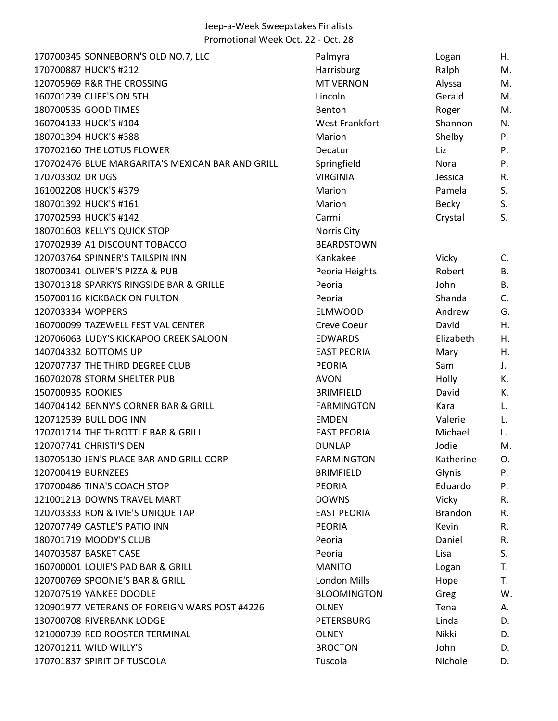| 170700345 SONNEBORN'S OLD NO.7, LLC              | Palmyra               | Logan          | Η.        |
|--------------------------------------------------|-----------------------|----------------|-----------|
| 170700887 HUCK'S #212                            | Harrisburg            | Ralph          | M.        |
| 120705969 R&R THE CROSSING                       | <b>MT VERNON</b>      | Alyssa         | M.        |
| 160701239 CLIFF'S ON 5TH                         | Lincoln               | Gerald         | M.        |
| 180700535 GOOD TIMES                             | Benton                | Roger          | M.        |
| 160704133 HUCK'S #104                            | <b>West Frankfort</b> | Shannon        | N.        |
| 180701394 HUCK'S #388                            | Marion                | Shelby         | P.        |
| 170702160 THE LOTUS FLOWER                       | Decatur               | Liz            | P.        |
| 170702476 BLUE MARGARITA'S MEXICAN BAR AND GRILL | Springfield           | Nora           | P.        |
| 170703302 DR UGS                                 | <b>VIRGINIA</b>       | Jessica        | R.        |
| 161002208 HUCK'S #379                            | Marion                | Pamela         | S.        |
| 180701392 HUCK'S #161                            | Marion                | <b>Becky</b>   | S.        |
| 170702593 HUCK'S #142                            | Carmi                 | Crystal        | S.        |
| 180701603 KELLY'S QUICK STOP                     | <b>Norris City</b>    |                |           |
| 170702939 A1 DISCOUNT TOBACCO                    | <b>BEARDSTOWN</b>     |                |           |
| 120703764 SPINNER'S TAILSPIN INN                 | Kankakee              | Vicky          | C.        |
| 180700341 OLIVER'S PIZZA & PUB                   | Peoria Heights        | Robert         | В.        |
| 130701318 SPARKYS RINGSIDE BAR & GRILLE          | Peoria                | John           | <b>B.</b> |
| 150700116 KICKBACK ON FULTON                     | Peoria                | Shanda         | C.        |
| 120703334 WOPPERS                                | <b>ELMWOOD</b>        | Andrew         | G.        |
| 160700099 TAZEWELL FESTIVAL CENTER               | <b>Creve Coeur</b>    | David          | Η.        |
| 120706063 LUDY'S KICKAPOO CREEK SALOON           | <b>EDWARDS</b>        | Elizabeth      | Η.        |
| 140704332 BOTTOMS UP                             | <b>EAST PEORIA</b>    | Mary           | Η.        |
| 120707737 THE THIRD DEGREE CLUB                  | <b>PEORIA</b>         | Sam            | J.        |
| 160702078 STORM SHELTER PUB                      | <b>AVON</b>           | Holly          | К.        |
| 150700935 ROOKIES                                | <b>BRIMFIELD</b>      | David          | К.        |
| 140704142 BENNY'S CORNER BAR & GRILL             | <b>FARMINGTON</b>     | Kara           | L.        |
| 120712539 BULL DOG INN                           | <b>EMDEN</b>          | Valerie        | L.        |
| 170701714 THE THROTTLE BAR & GRILL               | <b>EAST PEORIA</b>    | Michael        | L.        |
| 120707741 CHRISTI'S DEN                          | <b>DUNLAP</b>         | Jodie          | M.        |
| 130705130 JEN'S PLACE BAR AND GRILL CORP         | <b>FARMINGTON</b>     | Katherine      | О.        |
| 120700419 BURNZEES                               | <b>BRIMFIELD</b>      | Glynis         | P.        |
| 170700486 TINA'S COACH STOP                      | <b>PEORIA</b>         | Eduardo        | P.        |
| 121001213 DOWNS TRAVEL MART                      | <b>DOWNS</b>          | <b>Vicky</b>   | R.        |
| 120703333 RON & IVIE'S UNIQUE TAP                | <b>EAST PEORIA</b>    | <b>Brandon</b> | R.        |
| 120707749 CASTLE'S PATIO INN                     | <b>PEORIA</b>         | <b>Kevin</b>   | R.        |
| 180701719 MOODY'S CLUB                           | Peoria                | Daniel         | R.        |
| 140703587 BASKET CASE                            | Peoria                | Lisa           | S.        |
| 160700001 LOUIE'S PAD BAR & GRILL                | <b>MANITO</b>         | Logan          | T.        |
| 120700769 SPOONIE'S BAR & GRILL                  | <b>London Mills</b>   | Hope           | Τ.        |
| 120707519 YANKEE DOODLE                          | <b>BLOOMINGTON</b>    | Greg           | W.        |
| 120901977 VETERANS OF FOREIGN WARS POST #4226    | <b>OLNEY</b>          | Tena           | А.        |
| 130700708 RIVERBANK LODGE                        | <b>PETERSBURG</b>     | Linda          | D.        |
| 121000739 RED ROOSTER TERMINAL                   | <b>OLNEY</b>          | Nikki          | D.        |
| 120701211 WILD WILLY'S                           | <b>BROCTON</b>        | John           | D.        |
| 170701837 SPIRIT OF TUSCOLA                      | Tuscola               | Nichole        | D.        |
|                                                  |                       |                |           |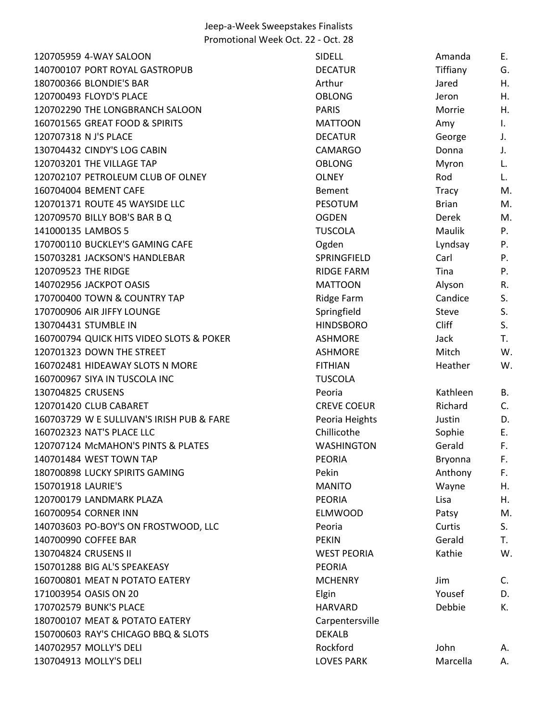| 120705959 4-WAY SALOON                    | SIDELL             | Amanda       | Е.             |
|-------------------------------------------|--------------------|--------------|----------------|
| 140700107 PORT ROYAL GASTROPUB            | <b>DECATUR</b>     | Tiffiany     | G.             |
| 180700366 BLONDIE'S BAR                   | Arthur             | Jared        | Η.             |
| 120700493 FLOYD'S PLACE                   | <b>OBLONG</b>      | Jeron        | Η.             |
| 120702290 THE LONGBRANCH SALOON           | <b>PARIS</b>       | Morrie       | Η.             |
| 160701565 GREAT FOOD & SPIRITS            | <b>MATTOON</b>     | Amy          | $\mathbf{I}$ . |
| 120707318 N J'S PLACE                     | <b>DECATUR</b>     | George       | J.             |
| 130704432 CINDY'S LOG CABIN               | <b>CAMARGO</b>     | Donna        | J.             |
| 120703201 THE VILLAGE TAP                 | <b>OBLONG</b>      | Myron        | L.             |
| 120702107 PETROLEUM CLUB OF OLNEY         | <b>OLNEY</b>       | Rod          | L.             |
| 160704004 BEMENT CAFE                     | Bement             | Tracy        | M.             |
| 120701371 ROUTE 45 WAYSIDE LLC            | <b>PESOTUM</b>     | <b>Brian</b> | M.             |
| 120709570 BILLY BOB'S BAR B Q             | <b>OGDEN</b>       | Derek        | M.             |
| 141000135 LAMBOS 5                        | <b>TUSCOLA</b>     | Maulik       | P.             |
| 170700110 BUCKLEY'S GAMING CAFE           | Ogden              | Lyndsay      | Ρ.             |
| 150703281 JACKSON'S HANDLEBAR             | SPRINGFIELD        | Carl         | P.             |
| 120709523 THE RIDGE                       | <b>RIDGE FARM</b>  | Tina         | Ρ.             |
| 140702956 JACKPOT OASIS                   | <b>MATTOON</b>     | Alyson       | R.             |
| 170700400 TOWN & COUNTRY TAP              | Ridge Farm         | Candice      | S.             |
| 170700906 AIR JIFFY LOUNGE                | Springfield        | <b>Steve</b> | S.             |
| 130704431 STUMBLE IN                      | <b>HINDSBORO</b>   | <b>Cliff</b> | S.             |
| 160700794 QUICK HITS VIDEO SLOTS & POKER  | <b>ASHMORE</b>     | Jack         | T.             |
| 120701323 DOWN THE STREET                 | <b>ASHMORE</b>     | Mitch        | W.             |
| 160702481 HIDEAWAY SLOTS N MORE           | <b>FITHIAN</b>     | Heather      | W.             |
| 160700967 SIYA IN TUSCOLA INC             | <b>TUSCOLA</b>     |              |                |
| 130704825 CRUSENS                         | Peoria             | Kathleen     | <b>B.</b>      |
| 120701420 CLUB CABARET                    | <b>CREVE COEUR</b> | Richard      | C.             |
| 160703729 W E SULLIVAN'S IRISH PUB & FARE | Peoria Heights     | Justin       | D.             |
| 160702323 NAT'S PLACE LLC                 | Chillicothe        | Sophie       | E.             |
| 120707124 McMAHON'S PINTS & PLATES        | <b>WASHINGTON</b>  | Gerald       | F.             |
| 140701484 WEST TOWN TAP                   | <b>PEORIA</b>      | Bryonna      | F.             |
| 180700898 LUCKY SPIRITS GAMING            | Pekin              | Anthony      | F.             |
| 150701918 LAURIE'S                        | <b>MANITO</b>      | Wayne        | Η.             |
| 120700179 LANDMARK PLAZA                  | <b>PEORIA</b>      | Lisa         | Η.             |
| 160700954 CORNER INN                      | <b>ELMWOOD</b>     | Patsy        | M.             |
| 140703603 PO-BOY'S ON FROSTWOOD, LLC      | Peoria             | Curtis       | S.             |
| 140700990 COFFEE BAR                      | <b>PEKIN</b>       | Gerald       | T.             |
| 130704824 CRUSENS II                      | <b>WEST PEORIA</b> | Kathie       | W.             |
| 150701288 BIG AL'S SPEAKEASY              | <b>PEORIA</b>      |              |                |
| 160700801 MEAT N POTATO EATERY            | <b>MCHENRY</b>     | Jim          | C <sub>1</sub> |
| 171003954 OASIS ON 20                     | Elgin              | Yousef       | D.             |
| 170702579 BUNK'S PLACE                    | <b>HARVARD</b>     | Debbie       | К.             |
| 180700107 MEAT & POTATO EATERY            | Carpentersville    |              |                |
| 150700603 RAY'S CHICAGO BBQ & SLOTS       | <b>DEKALB</b>      |              |                |
| 140702957 MOLLY'S DELI                    | Rockford           | John         | А.             |
| 130704913 MOLLY'S DELI                    | <b>LOVES PARK</b>  | Marcella     | Α.             |
|                                           |                    |              |                |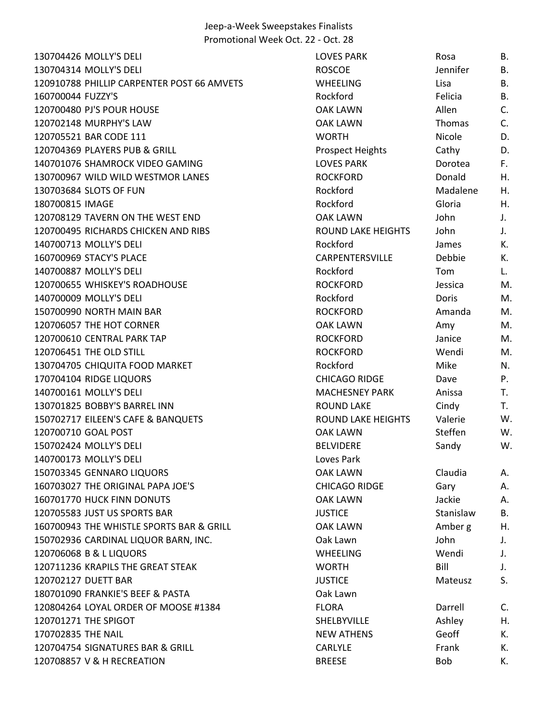MOLLY'S DELI LOVES PARK Rosa B. MOLLY'S DELI ROSCOE Jennifer B. 120910788 PHILLIP CARPENTER POST 66 AMVETS WHEELING Lisa Lisa B. 160700044 FUZZY'S BELLET BELLET BELLET BELLET BELLET BELLET BELLET BELLET BELLET BELLET BELLET BELLET BELLET B 120700480 PJ'S POUR HOUSE THE CONSERVIEW OOK LAWN THE Allen C. MURPHY'S LAW OAK LAWN Thomas C. BAR CODE 111 WORTH Nicole D. 120704369 PLAYERS PUB & GRILL **Prospect Heights** Cathy Cathy D. 140701076 SHAMROCK VIDEO GAMING LOVES PARK LOVES PARK Dorotea F. 130700967 WILD WILD WESTMOR LANES THE ROCKFORD Donald H. SLOTS OF FUN Rockford Madalene H. IMAGE Rockford Gloria H. 120708129 TAVERN ON THE WEST END **OAK LAWN** John J. RICHARDS CHICKEN AND RIBS ROUND LAKE HEIGHTS John J. 140700713 MOLLY'S DELI **Rockford** Rockford James K. STACY'S PLACE CARPENTERSVILLE Debbie K. MOLLY'S DELI Rockford Tom L. WHISKEY'S ROADHOUSE ROCKFORD Jessica M. MOLLY'S DELI Rockford Doris M. NORTH MAIN BAR ROCKFORD Amanda M. 120706057 THE HOT CORNER **CORNER CORNER AMY CONSERVER AMY METALLY** OAK LAWN Amy Amy M. 120700610 CENTRAL PARK TAP **ROCKFORD** Janice M. THE OLD STILL ROCKFORD Wendi M. 130704705 CHIQUITA FOOD MARKET ALL ROCKford Rockford Mike M. 170704104 RIDGE LIQUORS **CHICAGO RIDGE** Dave P. 140700161 MOLLY'S DELI THE CONTROL OF STRAINING MACHESNEY PARK Anissa T. BOBBY'S BARREL INN ROUND LAKE Cindy T. EILEEN'S CAFE & BANQUETS ROUND LAKE HEIGHTS Valerie W. GOAL POST OAK LAWN Steffen W. MOLLY'S DELI BELVIDERE Sandy W. 140700173 MOLLY'S DELI Loves Park GENNARO LIQUORS OAK LAWN Claudia A. THE ORIGINAL PAPA JOE'S CHICAGO RIDGE Gary A. HUCK FINN DONUTS OAK LAWN Jackie A. JUST US SPORTS BAR JUSTICE Stanislaw B. 160700943 THE WHISTLE SPORTS BAR & GRILL CAK LAWN Amber g H. CARDINAL LIQUOR BARN, INC. Oak Lawn John J. B & L LIQUORS WHEELING Wendi J. KRAPILS THE GREAT STEAK WORTH Bill J. DUETT BAR JUSTICE Mateusz S. FRANKIE'S BEEF & PASTA Oak Lawn 120804264 LOYAL ORDER OF MOOSE #1384 FLORA FLORA Darrell C. 120701271 THE SPIGOT **SHELBYVILLE** Ashley H. THE NAIL NEW ATHENS Geoff K. 120704754 SIGNATURES BAR & GRILL CARLYLE CARLYLE Frank K. V & H RECREATION BREESE Bob K.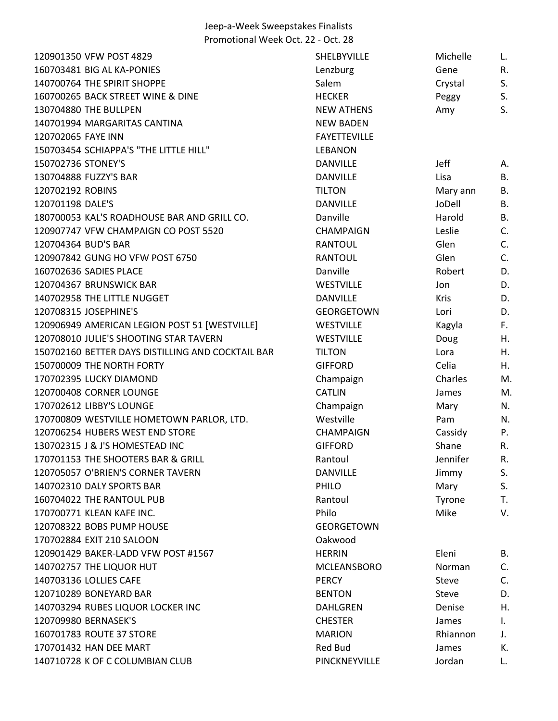| 120901350 VFW POST 4829                           | SHELBYVILLE         | Michelle    | L.        |
|---------------------------------------------------|---------------------|-------------|-----------|
| 160703481 BIG AL KA-PONIES                        | Lenzburg            | Gene        | R.        |
| 140700764 THE SPIRIT SHOPPE                       | Salem               | Crystal     | S.        |
| 160700265 BACK STREET WINE & DINE                 | <b>HECKER</b>       | Peggy       | S.        |
| 130704880 THE BULLPEN                             | <b>NEW ATHENS</b>   | Amy         | S.        |
| 140701994 MARGARITAS CANTINA                      | <b>NEW BADEN</b>    |             |           |
| 120702065 FAYE INN                                | <b>FAYETTEVILLE</b> |             |           |
| 150703454 SCHIAPPA'S "THE LITTLE HILL"            | <b>LEBANON</b>      |             |           |
| 150702736 STONEY'S                                | <b>DANVILLE</b>     | <b>Jeff</b> | Α.        |
| 130704888 FUZZY'S BAR                             | <b>DANVILLE</b>     | Lisa        | В.        |
| 120702192 ROBINS                                  | <b>TILTON</b>       | Mary ann    | В.        |
| 120701198 DALE'S                                  | <b>DANVILLE</b>     | JoDell      | B.        |
| 180700053 KAL'S ROADHOUSE BAR AND GRILL CO.       | Danville            | Harold      | <b>B.</b> |
| 120907747 VFW CHAMPAIGN CO POST 5520              | <b>CHAMPAIGN</b>    | Leslie      | C.        |
| 120704364 BUD'S BAR                               | <b>RANTOUL</b>      | Glen        | C.        |
| 120907842 GUNG HO VFW POST 6750                   | <b>RANTOUL</b>      | Glen        | C.        |
| 160702636 SADIES PLACE                            | Danville            | Robert      | D.        |
| 120704367 BRUNSWICK BAR                           | <b>WESTVILLE</b>    | Jon         | D.        |
| 140702958 THE LITTLE NUGGET                       | <b>DANVILLE</b>     | <b>Kris</b> | D.        |
| 120708315 JOSEPHINE'S                             | <b>GEORGETOWN</b>   | Lori        | D.        |
| 120906949 AMERICAN LEGION POST 51 [WESTVILLE]     | <b>WESTVILLE</b>    | Kagyla      | F.        |
| 120708010 JULIE'S SHOOTING STAR TAVERN            | <b>WESTVILLE</b>    | Doug        | Η.        |
| 150702160 BETTER DAYS DISTILLING AND COCKTAIL BAR | <b>TILTON</b>       | Lora        | Η.        |
| 150700009 THE NORTH FORTY                         | <b>GIFFORD</b>      | Celia       | Η.        |
| 170702395 LUCKY DIAMOND                           | Champaign           | Charles     | $M$ .     |
| 120700408 CORNER LOUNGE                           | <b>CATLIN</b>       | James       | M.        |
| 170702612 LIBBY'S LOUNGE                          | Champaign           | Mary        | N.        |
| 170700809 WESTVILLE HOMETOWN PARLOR, LTD.         | Westville           | Pam         | N.        |
| 120706254 HUBERS WEST END STORE                   | <b>CHAMPAIGN</b>    | Cassidy     | Ρ.        |
| 130702315 J & J'S HOMESTEAD INC                   | <b>GIFFORD</b>      | Shane       | R.        |
| 170701153 THE SHOOTERS BAR & GRILL                | Rantoul             | Jennifer    | R.        |
| 120705057 O'BRIEN'S CORNER TAVERN                 | <b>DANVILLE</b>     | Jimmy       | S.        |
| 140702310 DALY SPORTS BAR                         | PHILO               | Mary        | S.        |
| 160704022 THE RANTOUL PUB                         | Rantoul             | Tyrone      | T.        |
| 170700771 KLEAN KAFE INC.                         | Philo               | Mike        | V.        |
| 120708322 BOBS PUMP HOUSE                         | <b>GEORGETOWN</b>   |             |           |
| 170702884 EXIT 210 SALOON                         | Oakwood             |             |           |
| 120901429 BAKER-LADD VFW POST #1567               | <b>HERRIN</b>       | Eleni       | В.        |
| 140702757 THE LIQUOR HUT                          | <b>MCLEANSBORO</b>  | Norman      | C.        |
| 140703136 LOLLIES CAFE                            | <b>PERCY</b>        | Steve       | C.        |
| 120710289 BONEYARD BAR                            | <b>BENTON</b>       | Steve       | D.        |
| 140703294 RUBES LIQUOR LOCKER INC                 | <b>DAHLGREN</b>     | Denise      | Η.        |
| 120709980 BERNASEK'S                              | <b>CHESTER</b>      | James       | Ι.        |
| 160701783 ROUTE 37 STORE                          | <b>MARION</b>       | Rhiannon    | J.        |
| 170701432 HAN DEE MART                            | Red Bud             | James       | К.        |
| 140710728 K OF C COLUMBIAN CLUB                   | PINCKNEYVILLE       | Jordan      | L.        |
|                                                   |                     |             |           |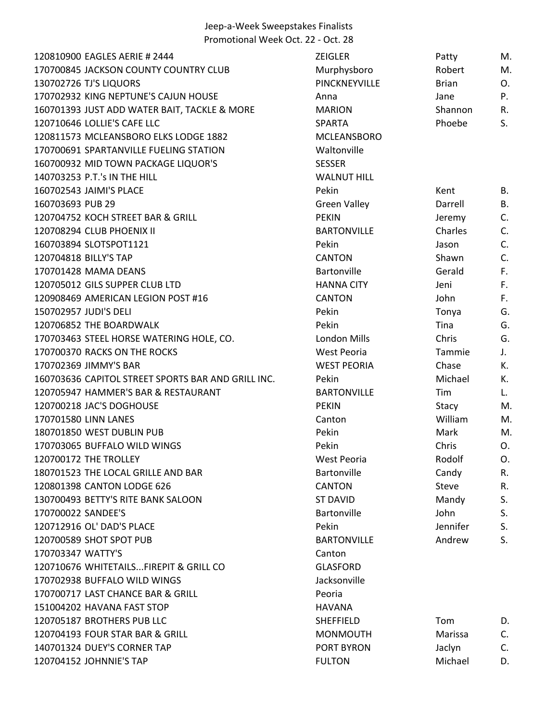| 120810900 EAGLES AERIE # 2444                      | <b>ZEIGLER</b>      | Patty        | M.          |
|----------------------------------------------------|---------------------|--------------|-------------|
| 170700845 JACKSON COUNTY COUNTRY CLUB              | Murphysboro         | Robert       | M.          |
| 130702726 TJ'S LIQUORS                             | PINCKNEYVILLE       | <b>Brian</b> | 0.          |
| 170702932 KING NEPTUNE'S CAJUN HOUSE               | Anna                | Jane         | Ρ.          |
| 160701393 JUST ADD WATER BAIT, TACKLE & MORE       | <b>MARION</b>       | Shannon      | R.          |
| 120710646 LOLLIE'S CAFE LLC                        | <b>SPARTA</b>       | Phoebe       | S.          |
| 120811573 MCLEANSBORO ELKS LODGE 1882              | <b>MCLEANSBORO</b>  |              |             |
| 170700691 SPARTANVILLE FUELING STATION             | Waltonville         |              |             |
| 160700932 MID TOWN PACKAGE LIQUOR'S                | <b>SESSER</b>       |              |             |
| 140703253 P.T.'s IN THE HILL                       | <b>WALNUT HILL</b>  |              |             |
| 160702543 JAIMI'S PLACE                            | Pekin               | Kent         | В.          |
| 160703693 PUB 29                                   | <b>Green Valley</b> | Darrell      | <b>B.</b>   |
| 120704752 KOCH STREET BAR & GRILL                  | <b>PEKIN</b>        | Jeremy       | C.          |
| 120708294 CLUB PHOENIX II                          | <b>BARTONVILLE</b>  | Charles      | C.          |
| 160703894 SLOTSPOT1121                             | Pekin               | Jason        | C.          |
| 120704818 BILLY'S TAP                              | <b>CANTON</b>       | Shawn        | C.          |
| 170701428 MAMA DEANS                               | Bartonville         | Gerald       | F.          |
| 120705012 GILS SUPPER CLUB LTD                     | <b>HANNA CITY</b>   | Jeni         | F.          |
| 120908469 AMERICAN LEGION POST #16                 | <b>CANTON</b>       | John         | F.          |
| 150702957 JUDI'S DELI                              | Pekin               | Tonya        | G.          |
| 120706852 THE BOARDWALK                            | Pekin               | Tina         | G.          |
| 170703463 STEEL HORSE WATERING HOLE, CO.           | London Mills        | Chris        | G.          |
| 170700370 RACKS ON THE ROCKS                       | West Peoria         | Tammie       | $J_{\star}$ |
| 170702369 JIMMY'S BAR                              | <b>WEST PEORIA</b>  | Chase        | К.          |
| 160703636 CAPITOL STREET SPORTS BAR AND GRILL INC. | Pekin               | Michael      | К.          |
| 120705947 HAMMER'S BAR & RESTAURANT                | <b>BARTONVILLE</b>  | Tim          | L.          |
| 120700218 JAC'S DOGHOUSE                           | <b>PEKIN</b>        | Stacy        | M.          |
| 170701580 LINN LANES                               | Canton              | William      | M.          |
| 180701850 WEST DUBLIN PUB                          | Pekin               | Mark         | M.          |
| 170703065 BUFFALO WILD WINGS                       | Pekin               | Chris        | O.          |
| 120700172 THE TROLLEY                              | West Peoria         | Rodolf       | O.          |
| 180701523 THE LOCAL GRILLE AND BAR                 | Bartonville         | Candy        | R.          |
| 120801398 CANTON LODGE 626                         | <b>CANTON</b>       | <b>Steve</b> | R.          |
| 130700493 BETTY'S RITE BANK SALOON                 | <b>ST DAVID</b>     | Mandy        | S.          |
| 170700022 SANDEE'S                                 | Bartonville         | John         | S.          |
| 120712916 OL' DAD'S PLACE                          | Pekin               | Jennifer     | S.          |
| 120700589 SHOT SPOT PUB                            | <b>BARTONVILLE</b>  | Andrew       | S.          |
| 170703347 WATTY'S                                  | Canton              |              |             |
| 120710676 WHITETAILSFIREPIT & GRILL CO             | <b>GLASFORD</b>     |              |             |
| 170702938 BUFFALO WILD WINGS                       | Jacksonville        |              |             |
| 170700717 LAST CHANCE BAR & GRILL                  | Peoria              |              |             |
| 151004202 HAVANA FAST STOP                         | <b>HAVANA</b>       |              |             |
| 120705187 BROTHERS PUB LLC                         | <b>SHEFFIELD</b>    | Tom          | D.          |
| 120704193 FOUR STAR BAR & GRILL                    | <b>MONMOUTH</b>     | Marissa      | C.          |
| 140701324 DUEY'S CORNER TAP                        | <b>PORT BYRON</b>   | Jaclyn       | C.          |
| 120704152 JOHNNIE'S TAP                            | <b>FULTON</b>       | Michael      | D.          |
|                                                    |                     |              |             |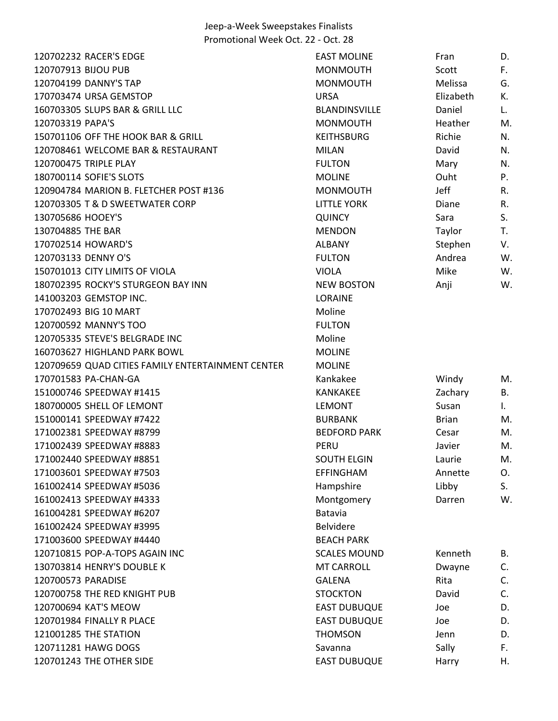| 120702232 RACER'S EDGE                            | <b>EAST MOLINE</b>   | Fran         | D. |
|---------------------------------------------------|----------------------|--------------|----|
| 120707913 BIJOU PUB                               | <b>MONMOUTH</b>      | Scott        | F. |
| 120704199 DANNY'S TAP                             | <b>MONMOUTH</b>      | Melissa      | G. |
| 170703474 URSA GEMSTOP                            | <b>URSA</b>          | Elizabeth    | К. |
| 160703305 SLUPS BAR & GRILL LLC                   | <b>BLANDINSVILLE</b> | Daniel       | L. |
| 120703319 PAPA'S                                  | <b>MONMOUTH</b>      | Heather      | M. |
| 150701106 OFF THE HOOK BAR & GRILL                | <b>KEITHSBURG</b>    | Richie       | N. |
| 120708461 WELCOME BAR & RESTAURANT                | <b>MILAN</b>         | David        | N. |
| 120700475 TRIPLE PLAY                             | <b>FULTON</b>        | Mary         | N. |
| 180700114 SOFIE'S SLOTS                           | <b>MOLINE</b>        | Ouht         | P. |
| 120904784 MARION B. FLETCHER POST #136            | <b>MONMOUTH</b>      | Jeff         | R. |
| 120703305 T & D SWEETWATER CORP                   | <b>LITTLE YORK</b>   | Diane        | R. |
| 130705686 HOOEY'S                                 | <b>QUINCY</b>        | Sara         | S. |
| 130704885 THE BAR                                 | <b>MENDON</b>        | Taylor       | T. |
| 170702514 HOWARD'S                                | <b>ALBANY</b>        | Stephen      | V. |
| 120703133 DENNY O'S                               | <b>FULTON</b>        | Andrea       | W. |
| 150701013 CITY LIMITS OF VIOLA                    | <b>VIOLA</b>         | Mike         | W. |
| 180702395 ROCKY'S STURGEON BAY INN                | <b>NEW BOSTON</b>    | Anji         | W. |
| 141003203 GEMSTOP INC.                            | <b>LORAINE</b>       |              |    |
| 170702493 BIG 10 MART                             | Moline               |              |    |
| 120700592 MANNY'S TOO                             | <b>FULTON</b>        |              |    |
| 120705335 STEVE'S BELGRADE INC                    | Moline               |              |    |
| 160703627 HIGHLAND PARK BOWL                      | <b>MOLINE</b>        |              |    |
| 120709659 QUAD CITIES FAMILY ENTERTAINMENT CENTER | <b>MOLINE</b>        |              |    |
| 170701583 PA-CHAN-GA                              | Kankakee             | Windy        | M. |
| 151000746 SPEEDWAY #1415                          | <b>KANKAKEE</b>      | Zachary      | В. |
| 180700005 SHELL OF LEMONT                         | <b>LEMONT</b>        | Susan        | Ι. |
| 151000141 SPEEDWAY #7422                          | <b>BURBANK</b>       | <b>Brian</b> | M. |
| 171002381 SPEEDWAY #8799                          | <b>BEDFORD PARK</b>  | Cesar        | M. |
| 171002439 SPEEDWAY #8883                          | PERU                 | Javier       | M. |
| 171002440 SPEEDWAY #8851                          | <b>SOUTH ELGIN</b>   | Laurie       | M. |
| 171003601 SPEEDWAY #7503                          | <b>EFFINGHAM</b>     | Annette      | O. |
| 161002414 SPEEDWAY #5036                          | Hampshire            | Libby        | S. |
| 161002413 SPEEDWAY #4333                          | Montgomery           | Darren       | W. |
| 161004281 SPEEDWAY #6207                          | Batavia              |              |    |
| 161002424 SPEEDWAY #3995                          | <b>Belvidere</b>     |              |    |
| 171003600 SPEEDWAY #4440                          | <b>BEACH PARK</b>    |              |    |
| 120710815 POP-A-TOPS AGAIN INC                    | <b>SCALES MOUND</b>  | Kenneth      | В. |
| 130703814 HENRY'S DOUBLE K                        | <b>MT CARROLL</b>    | Dwayne       | C. |
| 120700573 PARADISE                                | <b>GALENA</b>        | Rita         | C. |
| 120700758 THE RED KNIGHT PUB                      | <b>STOCKTON</b>      | David        | C. |
| 120700694 KAT'S MEOW                              | <b>EAST DUBUQUE</b>  | Joe          | D. |
| 120701984 FINALLY R PLACE                         | <b>EAST DUBUQUE</b>  | Joe          | D. |
| 121001285 THE STATION                             | <b>THOMSON</b>       | Jenn         | D. |
| 120711281 HAWG DOGS                               | Savanna              | Sally        | F. |
| 120701243 THE OTHER SIDE                          | <b>EAST DUBUQUE</b>  | Harry        | Η. |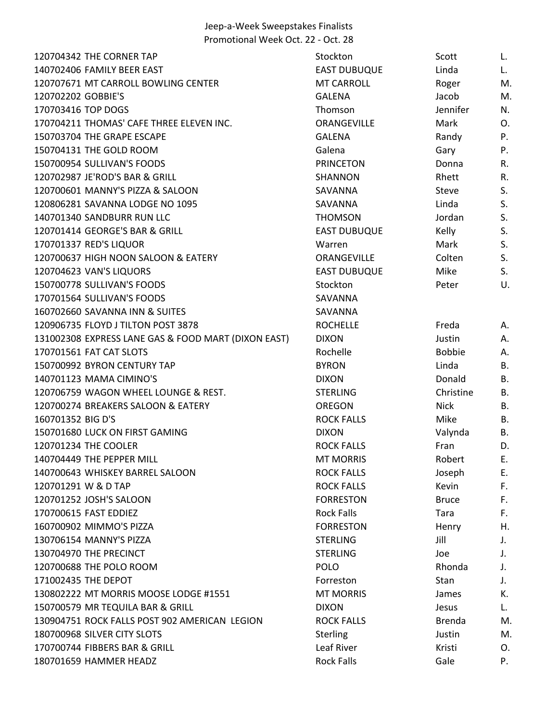| 120704342 THE CORNER TAP                            | Stockton            | Scott         | L.        |
|-----------------------------------------------------|---------------------|---------------|-----------|
| 140702406 FAMILY BEER EAST                          | <b>EAST DUBUQUE</b> | Linda         | L.        |
| 120707671 MT CARROLL BOWLING CENTER                 | <b>MT CARROLL</b>   | Roger         | M.        |
| 120702202 GOBBIE'S                                  | <b>GALENA</b>       | Jacob         | M.        |
| 170703416 TOP DOGS                                  | Thomson             | Jennifer      | N.        |
| 170704211 THOMAS' CAFE THREE ELEVEN INC.            | ORANGEVILLE         | Mark          | O.        |
| 150703704 THE GRAPE ESCAPE                          | <b>GALENA</b>       | Randy         | Ρ.        |
| 150704131 THE GOLD ROOM                             | Galena              | Gary          | P.        |
| 150700954 SULLIVAN'S FOODS                          | <b>PRINCETON</b>    | Donna         | R.        |
| 120702987 JE'ROD'S BAR & GRILL                      | <b>SHANNON</b>      | Rhett         | R.        |
| 120700601 MANNY'S PIZZA & SALOON                    | SAVANNA             | Steve         | S.        |
| 120806281 SAVANNA LODGE NO 1095                     | SAVANNA             | Linda         | S.        |
| 140701340 SANDBURR RUN LLC                          | <b>THOMSON</b>      | Jordan        | S.        |
| 120701414 GEORGE'S BAR & GRILL                      | <b>EAST DUBUQUE</b> | <b>Kelly</b>  | S.        |
| 170701337 RED'S LIQUOR                              | Warren              | Mark          | S.        |
| 120700637 HIGH NOON SALOON & EATERY                 | <b>ORANGEVILLE</b>  | Colten        | S.        |
| 120704623 VAN'S LIQUORS                             | <b>EAST DUBUQUE</b> | Mike          | S.        |
| 150700778 SULLIVAN'S FOODS                          | Stockton            | Peter         | U.        |
| 170701564 SULLIVAN'S FOODS                          | SAVANNA             |               |           |
| 160702660 SAVANNA INN & SUITES                      | SAVANNA             |               |           |
| 120906735 FLOYD J TILTON POST 3878                  | <b>ROCHELLE</b>     | Freda         | А.        |
| 131002308 EXPRESS LANE GAS & FOOD MART (DIXON EAST) | <b>DIXON</b>        | Justin        | Α.        |
| 170701561 FAT CAT SLOTS                             | Rochelle            | <b>Bobbie</b> | Α.        |
| 150700992 BYRON CENTURY TAP                         | <b>BYRON</b>        | Linda         | <b>B.</b> |
| 140701123 MAMA CIMINO'S                             | <b>DIXON</b>        | Donald        | <b>B.</b> |
| 120706759 WAGON WHEEL LOUNGE & REST.                | <b>STERLING</b>     | Christine     | <b>B.</b> |
| 120700274 BREAKERS SALOON & EATERY                  | <b>OREGON</b>       | <b>Nick</b>   | В.        |
| 160701352 BIG D'S                                   | <b>ROCK FALLS</b>   | Mike          | <b>B.</b> |
| 150701680 LUCK ON FIRST GAMING                      | <b>DIXON</b>        | Valynda       | В.        |
| 120701234 THE COOLER                                | <b>ROCK FALLS</b>   | Fran          | D.        |
| 140704449 THE PEPPER MILL                           | <b>MT MORRIS</b>    | Robert        | Ε.        |
| 140700643 WHISKEY BARREL SALOON                     | <b>ROCK FALLS</b>   | Joseph        | Ε.        |
| 120701291 W & D TAP                                 | <b>ROCK FALLS</b>   | Kevin         | F.        |
| 120701252 JOSH'S SALOON                             | <b>FORRESTON</b>    | <b>Bruce</b>  | F.        |
| 170700615 FAST EDDIEZ                               | <b>Rock Falls</b>   | Tara          | F.        |
| 160700902 MIMMO'S PIZZA                             | <b>FORRESTON</b>    | Henry         | Η.        |
| 130706154 MANNY'S PIZZA                             | <b>STERLING</b>     | Jill          | J.        |
| 130704970 THE PRECINCT                              | <b>STERLING</b>     | Joe           | J.        |
| 120700688 THE POLO ROOM                             | <b>POLO</b>         | Rhonda        | J.        |
| 171002435 THE DEPOT                                 | Forreston           | Stan          | J.        |
| 130802222 MT MORRIS MOOSE LODGE #1551               | <b>MT MORRIS</b>    | James         | К.        |
| 150700579 MR TEQUILA BAR & GRILL                    | <b>DIXON</b>        | Jesus         | L.        |
| 130904751 ROCK FALLS POST 902 AMERICAN LEGION       | <b>ROCK FALLS</b>   | <b>Brenda</b> | M.        |
| 180700968 SILVER CITY SLOTS                         | Sterling            | Justin        | M.        |
| 170700744 FIBBERS BAR & GRILL                       | Leaf River          | Kristi        | О.        |
| 180701659 HAMMER HEADZ                              | <b>Rock Falls</b>   | Gale          | Ρ.        |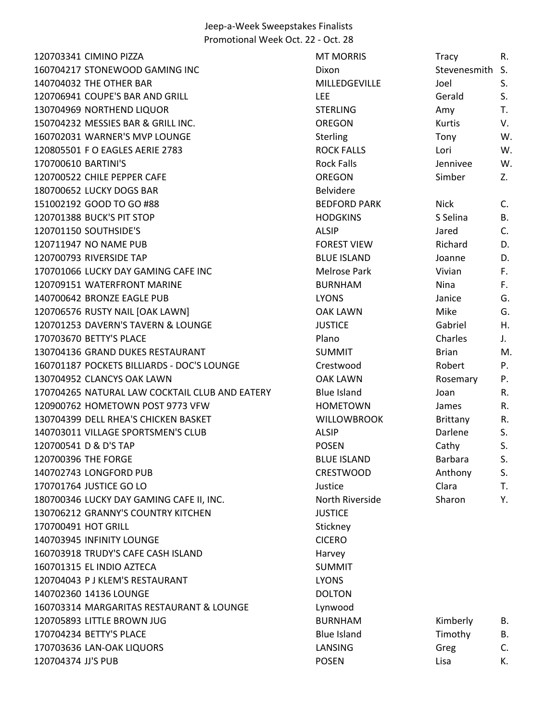120703341 CIMINO PIZZA **MT MORRIS** Tracy R. 160704217 STONEWOOD GAMING INC THE RESERVE DIXON DIXON DIXON Stevenesmith S. 140704032 THE OTHER BAR THE SERVICE BAR MILLEDGEVILLE SAND MILLEDGEVILLE 120706941 COUPE'S BAR AND GRILL **Example 2008 COUPE'S BAR AND GRILL** S. 130704969 NORTHEND LIQUOR **STERLING** STERLING Amy T. 150704232 MESSIES BAR & GRILL INC. OREGON Kurtis V. 160702031 WARNER'S MVP LOUNGE TO A Sterling Sterling Tony W. 120805501 F O EAGLES AERIE 2783 ROCK FALLS Lori W. 170700610 BARTINI'S **Rock Falls** Rock Falls Jennivee W. 120700522 CHILE PEPPER CAFE **CHILL CALCULATE CON** OREGON Simber Z. 180700652 LUCKY DOGS BAR Belvidere 151002192 GOOD TO GO #88 C. CONSUMING THE SECTION BEDFORD PARK Nick C. 120701388 BUCK'S PIT STOP **STOP STOP SEEMS SEEMS SEEMS SEEMS** SSelina B. 120701150 SOUTHSIDE'S ALSIP Jared C. 120711947 NO NAME PUB **FOREST VIEW Richard D.** 120700793 RIVERSIDE TAP BLUE ISLAND Joanne D. 170701066 LUCKY DAY GAMING CAFE INC **Melrose Park** Melrose Park Vivian F. 120709151 WATERFRONT MARINE **A CONSTRUCTED BURNHAM** Nina Burn Burnham River Burnham R. 140700642 BRONZE EAGLE PUB LYONS Janice G. 120706576 RUSTY NAIL [OAK LAWN] OAK LAWN Mike G. 120701253 DAVERN'S TAVERN & LOUNGE JUSTICE Gabriel H. 170703670 BETTY'S PLACE Plano Charles J. 130704136 GRAND DUKES RESTAURANT SUMMIT SUMMIT Brian M. 160701187 POCKETS BILLIARDS - DOC'S LOUNGE Crestwood Robert P. 130704952 CLANCYS OAK LAWN OAK LAWN Rosemary P. 170704265 NATURAL LAW COCKTAIL CLUB AND EATERY Blue Island Joan R. 120900762 HOMETOWN POST 9773 VFW HOMETOWN James R. 130704399 DELL RHEA'S CHICKEN BASKET WILLOWBROOK Brittany R. 140703011 VILLAGE SPORTSMEN'S CLUB ALSIP ALSIP Darlene S. 120700541 D & D'S TAP TAP RESERVED BY A RESERVED BY A CALL OF SALE OF SALE OF SALE OF SALE OF SALE OF SALE OF S 120700396 THE FORGE THE STRING BARBARA S. THE STRING BARBARA S. 140702743 LONGFORD PUB **CRESTWOOD** Anthony S. 170701764 JUSTICE GO LO Justice Clara T. 180700346 LUCKY DAY GAMING CAFE II, INC. North Riverside Sharon Sharon Sharon Y. 130706212 GRANNY'S COUNTRY KITCHEN JUSTICE 170700491 HOT GRILL Stickney Stickney 140703945 INFINITY LOUNGE CICERO 160703918 TRUDY'S CAFE CASH ISLAND Harvey 160701315 EL INDIO AZTECA SUMMIT 120704043 P J KLEM'S RESTAURANT LYONS 140702360 14136 LOUNGE DOLTON 160703314 MARGARITAS RESTAURANT & LOUNGE Lynwood 120705893 LITTLE BROWN JUG **BURNHAM** B. BURNHAM Kimberly B. 170704234 BETTY'S PLACE **Blue Island** Timothy B. 170703636 LAN-OAK LIQUORS LANSING Greg C. 120704374 JJ'S PUB POSEN Lisa K.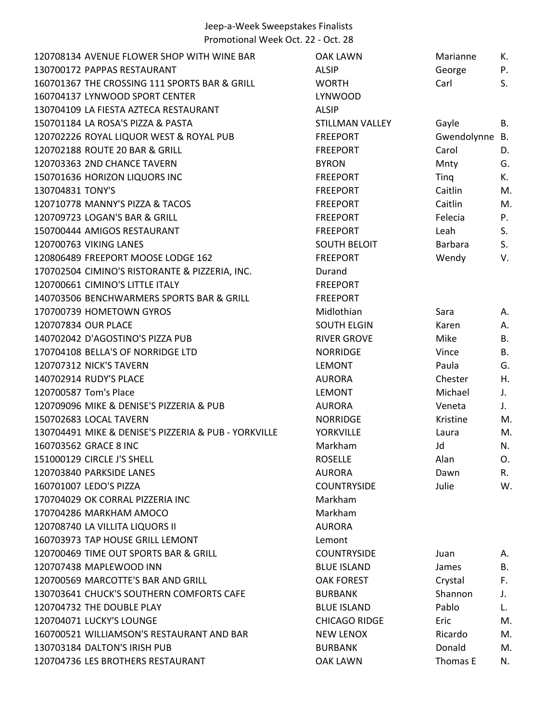| 120708134 AVENUE FLOWER SHOP WITH WINE BAR           | <b>OAK LAWN</b>        | Marianne       | К.        |
|------------------------------------------------------|------------------------|----------------|-----------|
| 130700172 PAPPAS RESTAURANT                          | <b>ALSIP</b>           | George         | P.        |
| 160701367 THE CROSSING 111 SPORTS BAR & GRILL        | <b>WORTH</b>           | Carl           | S.        |
| 160704137 LYNWOOD SPORT CENTER                       | LYNWOOD                |                |           |
| 130704109 LA FIESTA AZTECA RESTAURANT                | <b>ALSIP</b>           |                |           |
| 150701184 LA ROSA'S PIZZA & PASTA                    | <b>STILLMAN VALLEY</b> | Gayle          | В.        |
| 120702226 ROYAL LIQUOR WEST & ROYAL PUB              | <b>FREEPORT</b>        | Gwendolynne B. |           |
| 120702188 ROUTE 20 BAR & GRILL                       | <b>FREEPORT</b>        | Carol          | D.        |
| 120703363 2ND CHANCE TAVERN                          | <b>BYRON</b>           | Mnty           | G.        |
| 150701636 HORIZON LIQUORS INC                        | <b>FREEPORT</b>        | Ting           | К.        |
| 130704831 TONY'S                                     | <b>FREEPORT</b>        | Caitlin        | M.        |
| 120710778 MANNY'S PIZZA & TACOS                      | <b>FREEPORT</b>        | Caitlin        | M.        |
| 120709723 LOGAN'S BAR & GRILL                        | <b>FREEPORT</b>        | Felecia        | P.        |
| 150700444 AMIGOS RESTAURANT                          | <b>FREEPORT</b>        | Leah           | S.        |
| 120700763 VIKING LANES                               | <b>SOUTH BELOIT</b>    | Barbara        | S.        |
| 120806489 FREEPORT MOOSE LODGE 162                   | <b>FREEPORT</b>        | Wendy          | V.        |
| 170702504 CIMINO'S RISTORANTE & PIZZERIA, INC.       | Durand                 |                |           |
| 120700661 CIMINO'S LITTLE ITALY                      | <b>FREEPORT</b>        |                |           |
| 140703506 BENCHWARMERS SPORTS BAR & GRILL            | <b>FREEPORT</b>        |                |           |
| 170700739 HOMETOWN GYROS                             | Midlothian             | Sara           | А.        |
| 120707834 OUR PLACE                                  | <b>SOUTH ELGIN</b>     | Karen          | Α.        |
| 140702042 D'AGOSTINO'S PIZZA PUB                     | <b>RIVER GROVE</b>     | Mike           | Β.        |
| 170704108 BELLA'S OF NORRIDGE LTD                    | <b>NORRIDGE</b>        | Vince          | <b>B.</b> |
| 120707312 NICK'S TAVERN                              | <b>LEMONT</b>          | Paula          | G.        |
| 140702914 RUDY'S PLACE                               | <b>AURORA</b>          | Chester        | Η.        |
| 120700587 Tom's Place                                | <b>LEMONT</b>          | Michael        | J.        |
| 120709096 MIKE & DENISE'S PIZZERIA & PUB             | <b>AURORA</b>          | Veneta         | J.        |
| 150702683 LOCAL TAVERN                               | <b>NORRIDGE</b>        | Kristine       | M.        |
| 130704491 MIKE & DENISE'S PIZZERIA & PUB - YORKVILLE | <b>YORKVILLE</b>       | Laura          | M.        |
| 160703562 GRACE 8 INC                                | Markham                | Jd             | N.        |
| 151000129 CIRCLE J'S SHELL                           | <b>ROSELLE</b>         | Alan           | O.        |
| 120703840 PARKSIDE LANES                             | <b>AURORA</b>          | Dawn           | R.        |
| 160701007 LEDO'S PIZZA                               | <b>COUNTRYSIDE</b>     | Julie          | W.        |
| 170704029 OK CORRAL PIZZERIA INC                     | Markham                |                |           |
| 170704286 MARKHAM AMOCO                              | Markham                |                |           |
| 120708740 LA VILLITA LIQUORS II                      | <b>AURORA</b>          |                |           |
| 160703973 TAP HOUSE GRILL LEMONT                     | Lemont                 |                |           |
| 120700469 TIME OUT SPORTS BAR & GRILL                | <b>COUNTRYSIDE</b>     | Juan           | А.        |
| 120707438 MAPLEWOOD INN                              | <b>BLUE ISLAND</b>     | James          | В.        |
| 120700569 MARCOTTE'S BAR AND GRILL                   | <b>OAK FOREST</b>      | Crystal        | F.        |
| 130703641 CHUCK'S SOUTHERN COMFORTS CAFE             | <b>BURBANK</b>         | Shannon        | J.        |
| 120704732 THE DOUBLE PLAY                            | <b>BLUE ISLAND</b>     | Pablo          | L.        |
| 120704071 LUCKY'S LOUNGE                             | <b>CHICAGO RIDGE</b>   | Eric           | M.        |
| 160700521 WILLIAMSON'S RESTAURANT AND BAR            | <b>NEW LENOX</b>       | Ricardo        | M.        |
| 130703184 DALTON'S IRISH PUB                         | <b>BURBANK</b>         | Donald         | M.        |
| 120704736 LES BROTHERS RESTAURANT                    | <b>OAK LAWN</b>        | Thomas E       | N.        |
|                                                      |                        |                |           |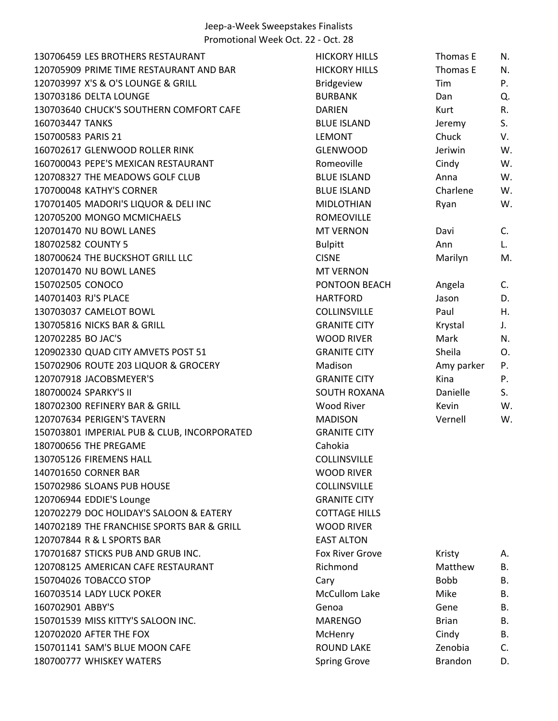| 130706459 LES BROTHERS RESTAURANT           | <b>HICKORY HILLS</b>   | Thomas E     | N.             |
|---------------------------------------------|------------------------|--------------|----------------|
| 120705909 PRIME TIME RESTAURANT AND BAR     | <b>HICKORY HILLS</b>   | Thomas E     | N.             |
| 120703997 X'S & O'S LOUNGE & GRILL          | <b>Bridgeview</b>      | Tim          | Ρ.             |
| 130703186 DELTA LOUNGE                      | <b>BURBANK</b>         | Dan          | Q.             |
| 130703640 CHUCK'S SOUTHERN COMFORT CAFE     | <b>DARIEN</b>          | Kurt         | R.             |
| 160703447 TANKS                             | <b>BLUE ISLAND</b>     | Jeremy       | S.             |
| 150700583 PARIS 21                          | <b>LEMONT</b>          | Chuck        | V.             |
| 160702617 GLENWOOD ROLLER RINK              | <b>GLENWOOD</b>        | Jeriwin      | W.             |
| 160700043 PEPE'S MEXICAN RESTAURANT         | Romeoville             | Cindy        | W.             |
| 120708327 THE MEADOWS GOLF CLUB             | <b>BLUE ISLAND</b>     | Anna         | W.             |
| 170700048 KATHY'S CORNER                    | <b>BLUE ISLAND</b>     | Charlene     | W.             |
| 170701405 MADORI'S LIQUOR & DELI INC        | <b>MIDLOTHIAN</b>      | Ryan         | W.             |
| 120705200 MONGO MCMICHAELS                  | <b>ROMEOVILLE</b>      |              |                |
| 120701470 NU BOWL LANES                     | <b>MT VERNON</b>       | Davi         | C <sub>1</sub> |
| 180702582 COUNTY 5                          | <b>Bulpitt</b>         | Ann          | L.             |
| 180700624 THE BUCKSHOT GRILL LLC            | <b>CISNE</b>           | Marilyn      | M.             |
| 120701470 NU BOWL LANES                     | <b>MT VERNON</b>       |              |                |
| 150702505 CONOCO                            | PONTOON BEACH          | Angela       | C.             |
| 140701403 RJ'S PLACE                        | <b>HARTFORD</b>        | Jason        | D.             |
| 130703037 CAMELOT BOWL                      | <b>COLLINSVILLE</b>    | Paul         | Η.             |
| 130705816 NICKS BAR & GRILL                 | <b>GRANITE CITY</b>    | Krystal      | J.             |
| 120702285 BO JAC'S                          | <b>WOOD RIVER</b>      | Mark         | N.             |
| 120902330 QUAD CITY AMVETS POST 51          | <b>GRANITE CITY</b>    | Sheila       | O.             |
| 150702906 ROUTE 203 LIQUOR & GROCERY        | Madison                | Amy parker   | Ρ.             |
| 120707918 JACOBSMEYER'S                     | <b>GRANITE CITY</b>    | Kina         | Ρ.             |
| 180700024 SPARKY'S II                       | <b>SOUTH ROXANA</b>    | Danielle     | S.             |
| 180702300 REFINERY BAR & GRILL              | <b>Wood River</b>      | Kevin        | W.             |
| 120707634 PERIGEN'S TAVERN                  | <b>MADISON</b>         | Vernell      | W.             |
| 150703801 IMPERIAL PUB & CLUB, INCORPORATED | <b>GRANITE CITY</b>    |              |                |
| 180700656 THE PREGAME                       | Cahokia                |              |                |
| 130705126 FIREMENS HALL                     | COLLINSVILLE           |              |                |
| 140701650 CORNER BAR                        | <b>WOOD RIVER</b>      |              |                |
| 150702986 SLOANS PUB HOUSE                  | <b>COLLINSVILLE</b>    |              |                |
| 120706944 EDDIE'S Lounge                    | <b>GRANITE CITY</b>    |              |                |
| 120702279 DOC HOLIDAY'S SALOON & EATERY     | <b>COTTAGE HILLS</b>   |              |                |
| 140702189 THE FRANCHISE SPORTS BAR & GRILL  | <b>WOOD RIVER</b>      |              |                |
| 120707844 R & L SPORTS BAR                  | <b>EAST ALTON</b>      |              |                |
| 170701687 STICKS PUB AND GRUB INC.          | <b>Fox River Grove</b> | Kristy       | А.             |
| 120708125 AMERICAN CAFE RESTAURANT          | Richmond               | Matthew      | B.             |
| 150704026 TOBACCO STOP                      | Cary                   | <b>Bobb</b>  | <b>B.</b>      |
| 160703514 LADY LUCK POKER                   | <b>McCullom Lake</b>   | Mike         | В.             |
| 160702901 ABBY'S                            | Genoa                  | Gene         | В.             |
| 150701539 MISS KITTY'S SALOON INC.          | MARENGO                | <b>Brian</b> | В.             |
| 120702020 AFTER THE FOX                     | McHenry                | Cindy        | В.             |
| 150701141 SAM'S BLUE MOON CAFE              | <b>ROUND LAKE</b>      | Zenobia      | C.             |
| 180700777 WHISKEY WATERS                    | <b>Spring Grove</b>    | Brandon      | D.             |
|                                             |                        |              |                |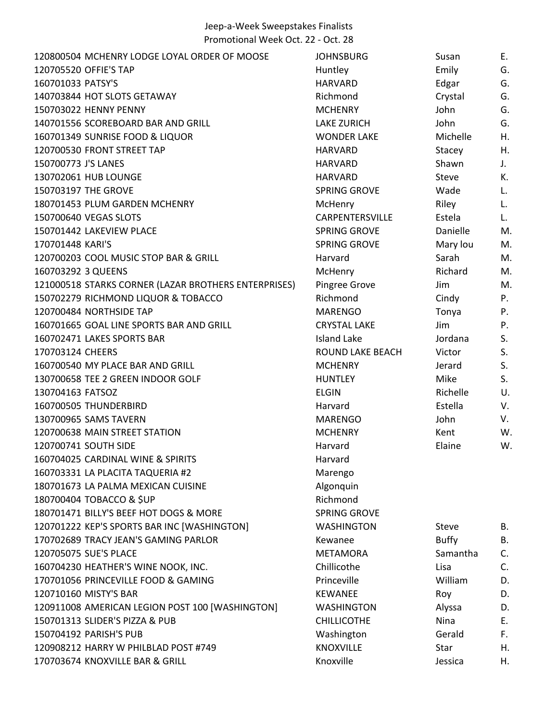| 120800504 MCHENRY LODGE LOYAL ORDER OF MOOSE         | <b>JOHNSBURG</b>        | Susan        | Е. |
|------------------------------------------------------|-------------------------|--------------|----|
| 120705520 OFFIE'S TAP                                | Huntley                 | Emily        | G. |
| 160701033 PATSY'S                                    | <b>HARVARD</b>          | Edgar        | G. |
| 140703844 HOT SLOTS GETAWAY                          | Richmond                | Crystal      | G. |
| 150703022 HENNY PENNY                                | <b>MCHENRY</b>          | John         | G. |
| 140701556 SCOREBOARD BAR AND GRILL                   | <b>LAKE ZURICH</b>      | John         | G. |
| 160701349 SUNRISE FOOD & LIQUOR                      | <b>WONDER LAKE</b>      | Michelle     | Η. |
| 120700530 FRONT STREET TAP                           | <b>HARVARD</b>          | Stacey       | Η. |
| 150700773 J'S LANES                                  | <b>HARVARD</b>          | Shawn        | J. |
| 130702061 HUB LOUNGE                                 | <b>HARVARD</b>          | <b>Steve</b> | К. |
| 150703197 THE GROVE                                  | <b>SPRING GROVE</b>     | Wade         | L. |
| 180701453 PLUM GARDEN MCHENRY                        | McHenry                 | Riley        | L. |
| 150700640 VEGAS SLOTS                                | CARPENTERSVILLE         | Estela       | L. |
| 150701442 LAKEVIEW PLACE                             | <b>SPRING GROVE</b>     | Danielle     | M. |
| 170701448 KARI'S                                     | <b>SPRING GROVE</b>     | Mary lou     | M. |
| 120700203 COOL MUSIC STOP BAR & GRILL                | Harvard                 | Sarah        | M. |
| 160703292 3 QUEENS                                   | McHenry                 | Richard      | M. |
| 121000518 STARKS CORNER (LAZAR BROTHERS ENTERPRISES) | Pingree Grove           | Jim          | M. |
| 150702279 RICHMOND LIQUOR & TOBACCO                  | Richmond                | Cindy        | P. |
| 120700484 NORTHSIDE TAP                              | <b>MARENGO</b>          | Tonya        | P. |
| 160701665 GOAL LINE SPORTS BAR AND GRILL             | <b>CRYSTAL LAKE</b>     | Jim          | P. |
| 160702471 LAKES SPORTS BAR                           | Island Lake             | Jordana      | S. |
| 170703124 CHEERS                                     | <b>ROUND LAKE BEACH</b> | Victor       | S. |
| 160700540 MY PLACE BAR AND GRILL                     | <b>MCHENRY</b>          | Jerard       | S. |
| 130700658 TEE 2 GREEN INDOOR GOLF                    | <b>HUNTLEY</b>          | Mike         | S. |
| 130704163 FATSOZ                                     | <b>ELGIN</b>            | Richelle     | U. |
| 160700505 THUNDERBIRD                                | Harvard                 | Estella      | V. |
| 130700965 SAMS TAVERN                                | <b>MARENGO</b>          | John         | V. |
| 120700638 MAIN STREET STATION                        | <b>MCHENRY</b>          | Kent         | W. |
| 120700741 SOUTH SIDE                                 | Harvard                 | Elaine       | W. |
| 160704025 CARDINAL WINE & SPIRITS                    | Harvard                 |              |    |
| 160703331 LA PLACITA TAQUERIA #2                     | Marengo                 |              |    |
| 180701673 LA PALMA MEXICAN CUISINE                   | Algonquin               |              |    |
| 180700404 TOBACCO & \$UP                             | Richmond                |              |    |
| 180701471 BILLY'S BEEF HOT DOGS & MORE               | <b>SPRING GROVE</b>     |              |    |
| 120701222 KEP'S SPORTS BAR INC [WASHINGTON]          | <b>WASHINGTON</b>       | <b>Steve</b> | В. |
| 170702689 TRACY JEAN'S GAMING PARLOR                 | Kewanee                 | <b>Buffy</b> | В. |
| 120705075 SUE'S PLACE                                | <b>METAMORA</b>         | Samantha     | C. |
| 160704230 HEATHER'S WINE NOOK, INC.                  | Chillicothe             | Lisa         | C. |
| 170701056 PRINCEVILLE FOOD & GAMING                  | Princeville             | William      | D. |
| 120710160 MISTY'S BAR                                | <b>KEWANEE</b>          | Roy          | D. |
| 120911008 AMERICAN LEGION POST 100 [WASHINGTON]      | <b>WASHINGTON</b>       | Alyssa       | D. |
| 150701313 SLIDER'S PIZZA & PUB                       | <b>CHILLICOTHE</b>      | Nina         | E. |
| 150704192 PARISH'S PUB                               | Washington              | Gerald       | F. |
| 120908212 HARRY W PHILBLAD POST #749                 | <b>KNOXVILLE</b>        | Star         | Η. |
| 170703674 KNOXVILLE BAR & GRILL                      | Knoxville               | Jessica      | Η. |
|                                                      |                         |              |    |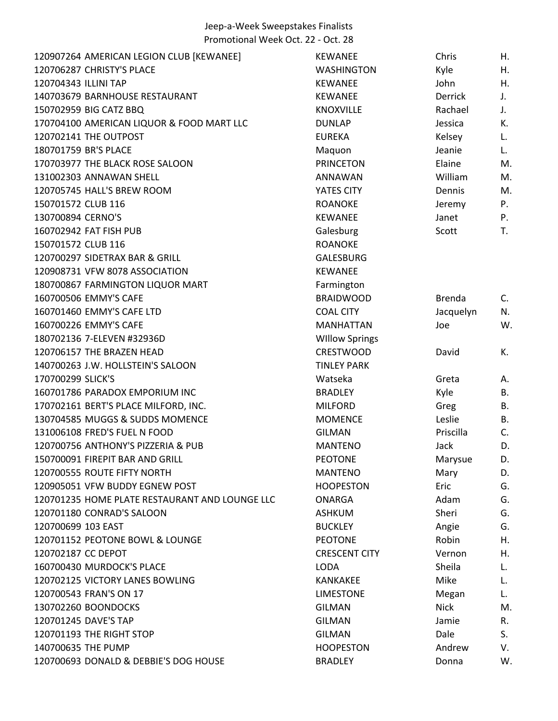| 120907264 AMERICAN LEGION CLUB [KEWANEE]       | <b>KEWANEE</b>        | Chris         | Η.          |
|------------------------------------------------|-----------------------|---------------|-------------|
| 120706287 CHRISTY'S PLACE                      | <b>WASHINGTON</b>     | Kyle          | Η.          |
| 120704343 ILLINI TAP                           | <b>KEWANEE</b>        | John          | Η.          |
| 140703679 BARNHOUSE RESTAURANT                 | <b>KEWANEE</b>        | Derrick       | J.          |
| 150702959 BIG CATZ BBQ                         | <b>KNOXVILLE</b>      | Rachael       | J.          |
| 170704100 AMERICAN LIQUOR & FOOD MART LLC      | <b>DUNLAP</b>         | Jessica       | К.          |
| 120702141 THE OUTPOST                          | <b>EUREKA</b>         | Kelsey        | L.          |
| 180701759 BR'S PLACE                           | Maquon                | Jeanie        | L.          |
| 170703977 THE BLACK ROSE SALOON                | <b>PRINCETON</b>      | Elaine        | M.          |
| 131002303 ANNAWAN SHELL                        | <b>ANNAWAN</b>        | William       | M.          |
| 120705745 HALL'S BREW ROOM                     | YATES CITY            | Dennis        | M.          |
| 150701572 CLUB 116                             | <b>ROANOKE</b>        | Jeremy        | Ρ.          |
| 130700894 CERNO'S                              | <b>KEWANEE</b>        | Janet         | P.          |
| 160702942 FAT FISH PUB                         | Galesburg             | Scott         | T.          |
| 150701572 CLUB 116                             | <b>ROANOKE</b>        |               |             |
| 120700297 SIDETRAX BAR & GRILL                 | <b>GALESBURG</b>      |               |             |
| 120908731 VFW 8078 ASSOCIATION                 | <b>KEWANEE</b>        |               |             |
| 180700867 FARMINGTON LIQUOR MART               | Farmington            |               |             |
| 160700506 EMMY'S CAFE                          | <b>BRAIDWOOD</b>      | <b>Brenda</b> | $C_{\cdot}$ |
| 160701460 EMMY'S CAFE LTD                      | <b>COAL CITY</b>      | Jacquelyn     | N.          |
| 160700226 EMMY'S CAFE                          | <b>MANHATTAN</b>      | Joe           | W.          |
| 180702136 7-ELEVEN #32936D                     | <b>Willow Springs</b> |               |             |
| 120706157 THE BRAZEN HEAD                      | <b>CRESTWOOD</b>      | David         | К.          |
| 140700263 J.W. HOLLSTEIN'S SALOON              | <b>TINLEY PARK</b>    |               |             |
| 170700299 SLICK'S                              | Watseka               | Greta         | А.          |
| 160701786 PARADOX EMPORIUM INC                 | <b>BRADLEY</b>        | Kyle          | В.          |
| 170702161 BERT'S PLACE MILFORD, INC.           | <b>MILFORD</b>        | Greg          | В.          |
| 130704585 MUGGS & SUDDS MOMENCE                | <b>MOMENCE</b>        | Leslie        | В.          |
| 131006108 FRED'S FUEL N FOOD                   | <b>GILMAN</b>         | Priscilla     | C.          |
| 120700756 ANTHONY'S PIZZERIA & PUB             | <b>MANTENO</b>        | Jack          | D.          |
| 150700091 FIREPIT BAR AND GRILL                | <b>PEOTONE</b>        | Marysue       | D.          |
| 120700555 ROUTE FIFTY NORTH                    | <b>MANTENO</b>        | Mary          | D.          |
| 120905051 VFW BUDDY EGNEW POST                 | <b>HOOPESTON</b>      | Eric          | G.          |
| 120701235 HOME PLATE RESTAURANT AND LOUNGE LLC | <b>ONARGA</b>         | Adam          | G.          |
| 120701180 CONRAD'S SALOON                      | <b>ASHKUM</b>         | Sheri         | G.          |
| 120700699 103 EAST                             | <b>BUCKLEY</b>        | Angie         | G.          |
| 120701152 PEOTONE BOWL & LOUNGE                | <b>PEOTONE</b>        | Robin         | Η.          |
| 120702187 CC DEPOT                             | <b>CRESCENT CITY</b>  | Vernon        | Η.          |
| 160700430 MURDOCK'S PLACE                      | <b>LODA</b>           | Sheila        | L.          |
| 120702125 VICTORY LANES BOWLING                | <b>KANKAKEE</b>       | Mike          | L.          |
| 120700543 FRAN'S ON 17                         | <b>LIMESTONE</b>      | Megan         | L.          |
| 130702260 BOONDOCKS                            | <b>GILMAN</b>         | <b>Nick</b>   | M.          |
| 120701245 DAVE'S TAP                           | <b>GILMAN</b>         | Jamie         | R.          |
| 120701193 THE RIGHT STOP                       | <b>GILMAN</b>         | Dale          | S.          |
| 140700635 THE PUMP                             | <b>HOOPESTON</b>      | Andrew        | V.          |
| 120700693 DONALD & DEBBIE'S DOG HOUSE          | <b>BRADLEY</b>        | Donna         | W.          |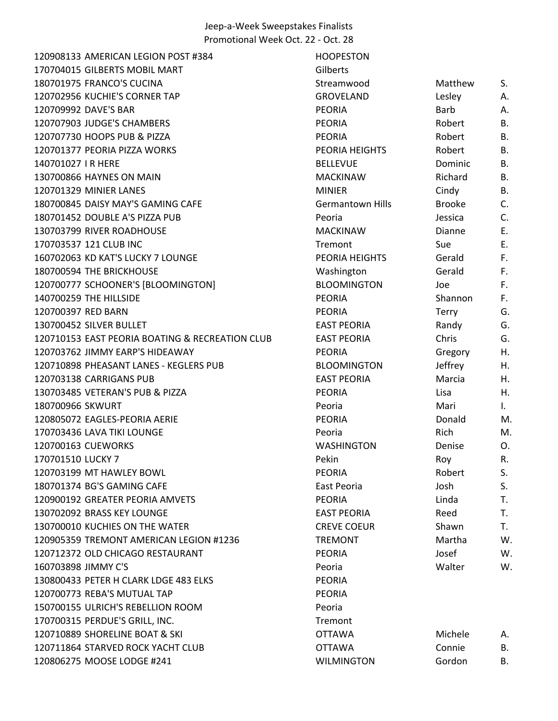120908133 AMERICAN LEGION POST #384 170704015 GILBERTS MOBIL MART 180701975 FRANCO'S CUCINA 120702956 KUCHIE'S CORNER TAP 120709992 DAVE'S BAR 120707903 JUDGE'S CHAMBERS 120707730 HOOPS PUB & PIZZA 120701377 PEORIA PIZZA WORKS 140701027 I R HERE 130700866 HAYNES ON MAIN 120701329 MINIER LANES 180700845 DAISY MAY'S GAMING CAFE 180701452 DOUBLE A'S PIZZA PUB 130703799 RIVER ROADHOUSE 170703537 121 CLUB INC 160702063 KD KAT'S LUCKY 7 LOUNGE 180700594 THE BRICKHOUSE 120700777 SCHOONER'S [BLOOMINGTON] 140700259 THE HILLSIDE 120700397 RED BARN 130700452 SILVER BULLET 120710153 EAST PEORIA BOATING & RECREATION CLUB 120703762 JIMMY EARP'S HIDEAWAY 120710898 PHEASANT LANES - KEGLERS PUB 120703138 CARRIGANS PUB 130703485 VETERAN'S PUB & PIZZA 180700966 SKWURT 120805072 EAGLES-PEORIA AERIE 170703436 LAVA TIKI LOUNGE 120700163 CUEWORKS 170701510 LUCKY 7 120703199 MT HAWLEY BOWL 180701374 BG'S GAMING CAFE 120900192 GREATER PEORIA AMVETS 130702092 BRASS KEY LOUNGE 130700010 KUCHIES ON THE WATER 120905359 TREMONT AMERICAN LEGION #1236 120712372 OLD CHICAGO RESTAURANT 160703898 JIMMY C'S 130800433 PETER H CLARK LDGE 483 ELKS 120700773 REBA'S MUTUAL TAP 150700155 ULRICH'S REBELLION ROOM 170700315 PERDUE'S GRILL, INC. 120710889 SHORELINE BOAT & SKI 120711864 STARVED ROCK YACHT CLUB 120806275 MOOSE LODGE #241

| HOOPESTON          |               |    |
|--------------------|---------------|----|
| Gilberts           |               |    |
| Streamwood         | Matthew       | S. |
| GROVELAND          | Lesley        | А. |
| PEORIA             | <b>Barb</b>   | А. |
| PEORIA             | Robert        | Β. |
| PEORIA             | Robert        | Β. |
| PEORIA HEIGHTS     | Robert        | Β. |
| BELLEVUE           | Dominic       | Β. |
| <b>MACKINAW</b>    | Richard       | Β. |
| <b>MINIER</b>      | Cindy         | Β. |
| Germantown Hills   | <b>Brooke</b> | C. |
| Peoria             | Jessica       | C. |
| <b>MACKINAW</b>    | Dianne        | Е. |
| Tremont            | Sue           | Ε. |
| PEORIA HEIGHTS     | Gerald        | F. |
| Washington         | Gerald        | F. |
| <b>BLOOMINGTON</b> | Joe           | F. |
| PEORIA             | Shannon       | F. |
| PEORIA             | <b>Terry</b>  | G. |
| <b>EAST PEORIA</b> | Randy         | G. |
| <b>EAST PEORIA</b> | Chris         | G. |
| PEORIA             | Gregory       | Η. |
| <b>BLOOMINGTON</b> | Jeffrey       | Н. |
| <b>EAST PEORIA</b> | Marcia        | Η. |
| PEORIA             | Lisa          | Н. |
| Peoria             | Mari          | I. |
| PEORIA             | Donald        | M  |
| Peoria             | Rich          | M  |
| WASHINGTON         | Denise        | О. |
| Pekin              | Roy           | R. |
| PEORIA             | Robert        | S. |
| East Peoria        | Josh          | S. |
| PEORIA             | Linda         | T. |
| <b>EAST PEORIA</b> | Reed          | Т. |
| CREVE COEUR        | Shawn         | T. |
| TREMONT            | Martha        | W  |
| PEORIA             | Josef         | W  |
| Peoria             | Walter        | W  |
| PEORIA             |               |    |
| PEORIA             |               |    |
| Peoria             |               |    |
| Tremont            |               |    |
| OTTAWA             | Michele       | А. |
| <b>OTTAWA</b>      | Connie        | В. |
| WILMINGTON         | Gordon        | В. |